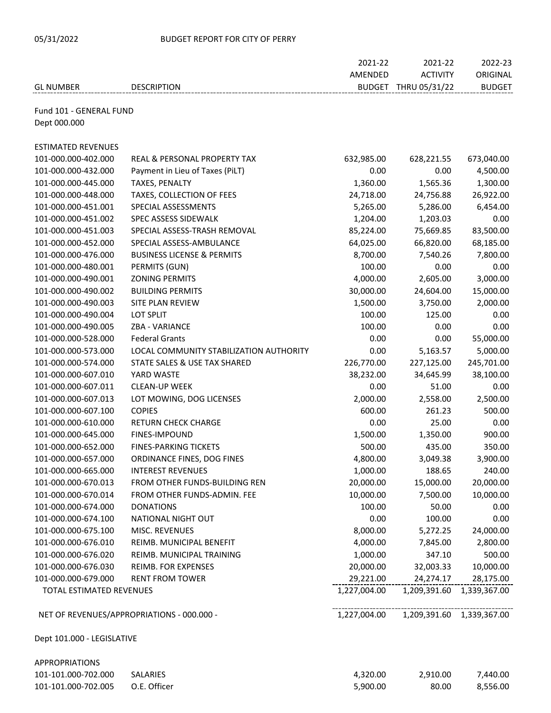## 05/31/2022 BUDGET REPORT FOR CITY OF PERRY

|                            |                                            | 2021-22      | 2021-22              | 2022-23                   |
|----------------------------|--------------------------------------------|--------------|----------------------|---------------------------|
|                            |                                            | AMENDED      | <b>ACTIVITY</b>      | ORIGINAL                  |
| <b>GL NUMBER</b>           | <b>DESCRIPTION</b>                         |              | BUDGET THRU 05/31/22 | <b>BUDGET</b>             |
|                            |                                            |              |                      |                           |
| Fund 101 - GENERAL FUND    |                                            |              |                      |                           |
| Dept 000.000               |                                            |              |                      |                           |
|                            |                                            |              |                      |                           |
| <b>ESTIMATED REVENUES</b>  |                                            |              |                      |                           |
| 101-000.000-402.000        | REAL & PERSONAL PROPERTY TAX               | 632,985.00   | 628,221.55           | 673,040.00                |
| 101-000.000-432.000        | Payment in Lieu of Taxes (PiLT)            | 0.00         | 0.00                 | 4,500.00                  |
| 101-000.000-445.000        | TAXES, PENALTY                             | 1,360.00     | 1,565.36             | 1,300.00                  |
| 101-000.000-448.000        | TAXES, COLLECTION OF FEES                  | 24,718.00    | 24,756.88            | 26,922.00                 |
| 101-000.000-451.001        | SPECIAL ASSESSMENTS                        | 5,265.00     | 5,286.00             | 6,454.00                  |
| 101-000.000-451.002        | SPEC ASSESS SIDEWALK                       | 1,204.00     | 1,203.03             | 0.00                      |
| 101-000.000-451.003        | SPECIAL ASSESS-TRASH REMOVAL               | 85,224.00    | 75,669.85            | 83,500.00                 |
| 101-000.000-452.000        | SPECIAL ASSESS-AMBULANCE                   | 64,025.00    | 66,820.00            | 68,185.00                 |
| 101-000.000-476.000        | <b>BUSINESS LICENSE &amp; PERMITS</b>      | 8,700.00     | 7,540.26             | 7,800.00                  |
| 101-000.000-480.001        | PERMITS (GUN)                              | 100.00       | 0.00                 | 0.00                      |
| 101-000.000-490.001        | <b>ZONING PERMITS</b>                      | 4,000.00     | 2,605.00             | 3,000.00                  |
| 101-000.000-490.002        | <b>BUILDING PERMITS</b>                    | 30,000.00    | 24,604.00            | 15,000.00                 |
| 101-000.000-490.003        | SITE PLAN REVIEW                           | 1,500.00     | 3,750.00             | 2,000.00                  |
| 101-000.000-490.004        | LOT SPLIT                                  | 100.00       | 125.00               | 0.00                      |
| 101-000.000-490.005        | ZBA - VARIANCE                             | 100.00       | 0.00                 | 0.00                      |
| 101-000.000-528.000        | <b>Federal Grants</b>                      | 0.00         | 0.00                 | 55,000.00                 |
| 101-000.000-573.000        | LOCAL COMMUNITY STABILIZATION AUTHORITY    | 0.00         | 5,163.57             | 5,000.00                  |
| 101-000.000-574.000        | STATE SALES & USE TAX SHARED               | 226,770.00   | 227,125.00           | 245,701.00                |
| 101-000.000-607.010        | YARD WASTE                                 | 38,232.00    | 34,645.99            | 38,100.00                 |
| 101-000.000-607.011        | <b>CLEAN-UP WEEK</b>                       | 0.00         | 51.00                | 0.00                      |
| 101-000.000-607.013        | LOT MOWING, DOG LICENSES                   | 2,000.00     | 2,558.00             | 2,500.00                  |
| 101-000.000-607.100        | <b>COPIES</b>                              | 600.00       | 261.23               | 500.00                    |
| 101-000.000-610.000        | <b>RETURN CHECK CHARGE</b>                 | 0.00         | 25.00                | 0.00                      |
| 101-000.000-645.000        | <b>FINES-IMPOUND</b>                       | 1,500.00     | 1,350.00             | 900.00                    |
| 101-000.000-652.000        | <b>FINES-PARKING TICKETS</b>               | 500.00       | 435.00               | 350.00                    |
| 101-000.000-657.000        | ORDINANCE FINES, DOG FINES                 | 4,800.00     | 3,049.38             | 3,900.00                  |
| 101-000.000-665.000        | <b>INTEREST REVENUES</b>                   | 1,000.00     | 188.65               | 240.00                    |
| 101-000.000-670.013        | FROM OTHER FUNDS-BUILDING REN              | 20,000.00    | 15,000.00            | 20,000.00                 |
| 101-000.000-670.014        | FROM OTHER FUNDS-ADMIN. FEE                | 10,000.00    | 7,500.00             | 10,000.00                 |
| 101-000.000-674.000        | <b>DONATIONS</b>                           | 100.00       | 50.00                | 0.00                      |
| 101-000.000-674.100        | <b>NATIONAL NIGHT OUT</b>                  | 0.00         | 100.00               | 0.00                      |
| 101-000.000-675.100        | MISC. REVENUES                             | 8,000.00     | 5,272.25             | 24,000.00                 |
| 101-000.000-676.010        | REIMB. MUNICIPAL BENEFIT                   | 4,000.00     | 7,845.00             | 2,800.00                  |
| 101-000.000-676.020        | REIMB. MUNICIPAL TRAINING                  | 1,000.00     | 347.10               | 500.00                    |
| 101-000.000-676.030        | <b>REIMB. FOR EXPENSES</b>                 | 20,000.00    | 32,003.33            | 10,000.00                 |
| 101-000.000-679.000        | <b>RENT FROM TOWER</b>                     | 29,221.00    | 24,274.17            | 28,175.00                 |
| TOTAL ESTIMATED REVENUES   |                                            | 1,227,004.00 | 1,209,391.60         | 1,339,367.00              |
|                            |                                            |              |                      |                           |
|                            | NET OF REVENUES/APPROPRIATIONS - 000.000 - | 1,227,004.00 |                      | 1,209,391.60 1,339,367.00 |
|                            |                                            |              |                      |                           |
| Dept 101.000 - LEGISLATIVE |                                            |              |                      |                           |
|                            |                                            |              |                      |                           |
| <b>APPROPRIATIONS</b>      |                                            |              |                      |                           |
| 101-101.000-702.000        | SALARIES                                   | 4,320.00     | 2,910.00             | 7,440.00                  |

101-101.000-702.005 O.E. Officer 5,900.00 80.00 8,556.00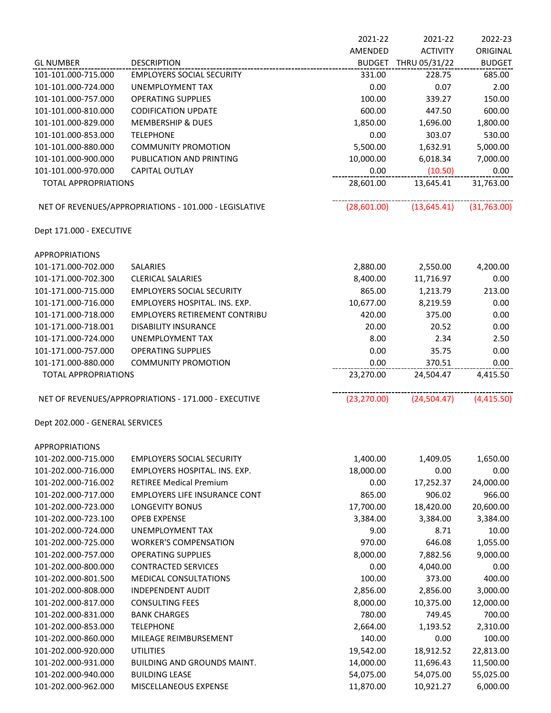|                                 |                                                        | 2021-22       | 2021-22         | 2022-23       |
|---------------------------------|--------------------------------------------------------|---------------|-----------------|---------------|
|                                 |                                                        | AMENDED       | <b>ACTIVITY</b> | ORIGINAL      |
| <b>GL NUMBER</b>                | <b>DESCRIPTION</b>                                     | <b>BUDGET</b> | THRU 05/31/22   | <b>BUDGET</b> |
| 101-101.000-715.000             | <b>EMPLOYERS SOCIAL SECURITY</b>                       | 331.00        | 228.75          | 685.00        |
| 101-101.000-724.000             | UNEMPLOYMENT TAX                                       | 0.00          | 0.07            | 2.00          |
| 101-101.000-757.000             | <b>OPERATING SUPPLIES</b>                              | 100.00        | 339.27          | 150.00        |
| 101-101.000-810.000             | <b>CODIFICATION UPDATE</b>                             | 600.00        | 447.50          | 600.00        |
| 101-101.000-829.000             | <b>MEMBERSHIP &amp; DUES</b>                           | 1,850.00      | 1,696.00        | 1,800.00      |
| 101-101.000-853.000             | <b>TELEPHONE</b>                                       | 0.00          | 303.07          | 530.00        |
| 101-101.000-880.000             | <b>COMMUNITY PROMOTION</b>                             | 5,500.00      | 1,632.91        | 5,000.00      |
| 101-101.000-900.000             | PUBLICATION AND PRINTING                               | 10,000.00     | 6,018.34        | 7,000.00      |
| 101-101.000-970.000             | CAPITAL OUTLAY                                         | 0.00          | (10.50)         | 0.00          |
| <b>TOTAL APPROPRIATIONS</b>     |                                                        | 28,601.00     | 13,645.41       | 31,763.00     |
|                                 | NET OF REVENUES/APPROPRIATIONS - 101.000 - LEGISLATIVE | (28,601.00)   | (13, 645.41)    | (31,763.00)   |
| Dept 171.000 - EXECUTIVE        |                                                        |               |                 |               |
| <b>APPROPRIATIONS</b>           |                                                        |               |                 |               |
| 101-171.000-702.000             | <b>SALARIES</b>                                        | 2,880.00      | 2,550.00        | 4,200.00      |
| 101-171.000-702.300             | <b>CLERICAL SALARIES</b>                               | 8,400.00      | 11,716.97       | 0.00          |
| 101-171.000-715.000             | <b>EMPLOYERS SOCIAL SECURITY</b>                       | 865.00        | 1,213.79        | 213.00        |
| 101-171.000-716.000             | EMPLOYERS HOSPITAL. INS. EXP.                          | 10,677.00     | 8,219.59        | 0.00          |
| 101-171.000-718.000             | <b>EMPLOYERS RETIREMENT CONTRIBU</b>                   | 420.00        | 375.00          | 0.00          |
| 101-171.000-718.001             | <b>DISABILITY INSURANCE</b>                            | 20.00         | 20.52           | 0.00          |
| 101-171.000-724.000             | UNEMPLOYMENT TAX                                       | 8.00          | 2.34            | 2.50          |
| 101-171.000-757.000             | <b>OPERATING SUPPLIES</b>                              | 0.00          | 35.75           | 0.00          |
| 101-171.000-880.000             | <b>COMMUNITY PROMOTION</b>                             | 0.00          | 370.51          | 0.00          |
| <b>TOTAL APPROPRIATIONS</b>     |                                                        | 23,270.00     | 24,504.47       | 4,415.50      |
|                                 | NET OF REVENUES/APPROPRIATIONS - 171.000 - EXECUTIVE   | (23, 270.00)  | (24,504.47)     | (4,415.50)    |
| Dept 202.000 - GENERAL SERVICES |                                                        |               |                 |               |
| <b>APPROPRIATIONS</b>           |                                                        |               |                 |               |
| 101-202.000-715.000             | <b>EMPLOYERS SOCIAL SECURITY</b>                       | 1,400.00      | 1,409.05        | 1,650.00      |
| 101-202.000-716.000             | EMPLOYERS HOSPITAL, INS. EXP.                          | 18,000.00     | 0.00            | 0.00          |
| 101-202.000-716.002             | <b>RETIREE Medical Premium</b>                         | 0.00          | 17,252.37       | 24,000.00     |
| 101-202.000-717.000             | <b>EMPLOYERS LIFE INSURANCE CONT</b>                   | 865.00        | 906.02          | 966.00        |
| 101-202.000-723.000             | <b>LONGEVITY BONUS</b>                                 | 17,700.00     | 18,420.00       | 20,600.00     |
| 101-202.000-723.100             | <b>OPEB EXPENSE</b>                                    | 3,384.00      | 3,384.00        | 3,384.00      |
| 101-202.000-724.000             | <b>UNEMPLOYMENT TAX</b>                                | 9.00          | 8.71            | 10.00         |
| 101-202.000-725.000             | <b>WORKER'S COMPENSATION</b>                           | 970.00        | 646.08          | 1,055.00      |
| 101-202.000-757.000             | <b>OPERATING SUPPLIES</b>                              | 8,000.00      | 7,882.56        | 9,000.00      |
| 101-202.000-800.000             | <b>CONTRACTED SERVICES</b>                             | 0.00          | 4,040.00        | 0.00          |
| 101-202.000-801.500             | MEDICAL CONSULTATIONS                                  | 100.00        | 373.00          | 400.00        |
| 101-202.000-808.000             | <b>INDEPENDENT AUDIT</b>                               | 2,856.00      | 2,856.00        | 3,000.00      |
| 101-202.000-817.000             | <b>CONSULTING FEES</b>                                 | 8,000.00      | 10,375.00       | 12,000.00     |
| 101-202.000-831.000             | <b>BANK CHARGES</b>                                    | 780.00        | 749.45          | 700.00        |
| 101-202.000-853.000             | <b>TELEPHONE</b>                                       | 2,664.00      | 1,193.52        | 2,310.00      |
| 101-202.000-860.000             | MILEAGE REIMBURSEMENT                                  | 140.00        | 0.00            | 100.00        |
| 101-202.000-920.000             | <b>UTILITIES</b>                                       | 19,542.00     | 18,912.52       | 22,813.00     |
| 101-202.000-931.000             | BUILDING AND GROUNDS MAINT.                            | 14,000.00     | 11,696.43       | 11,500.00     |
| 101-202.000-940.000             | <b>BUILDING LEASE</b>                                  | 54,075.00     | 54,075.00       | 55,025.00     |
| 101-202.000-962.000             | MISCELLANEOUS EXPENSE                                  | 11,870.00     | 10,921.27       | 6,000.00      |
|                                 |                                                        |               |                 |               |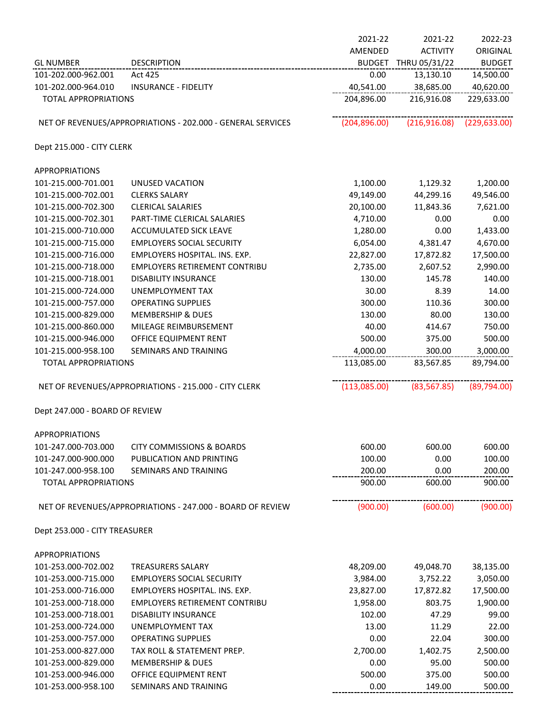|                                            |                                                             | 2021-22         | 2021-22              | 2022-23          |
|--------------------------------------------|-------------------------------------------------------------|-----------------|----------------------|------------------|
|                                            |                                                             | AMENDED         | <b>ACTIVITY</b>      | ORIGINAL         |
| <b>GL NUMBER</b>                           | <b>DESCRIPTION</b>                                          |                 | BUDGET THRU 05/31/22 | <b>BUDGET</b>    |
| 101-202.000-962.001                        | Act 425                                                     | 0.00            | 13,130.10            | 14,500.00        |
| 101-202.000-964.010                        | <b>INSURANCE - FIDELITY</b>                                 | 40,541.00       | 38,685.00            | 40,620.00        |
| <b>TOTAL APPROPRIATIONS</b>                |                                                             | 204,896.00      | 216,916.08           | 229,633.00       |
|                                            | NET OF REVENUES/APPROPRIATIONS - 202.000 - GENERAL SERVICES | (204, 896.00)   | (216,916.08)         | (229, 633.00)    |
| Dept 215.000 - CITY CLERK                  |                                                             |                 |                      |                  |
| <b>APPROPRIATIONS</b>                      |                                                             |                 |                      |                  |
| 101-215.000-701.001                        | UNUSED VACATION                                             | 1,100.00        | 1,129.32             | 1,200.00         |
| 101-215.000-702.001                        | <b>CLERKS SALARY</b>                                        | 49,149.00       | 44,299.16            | 49,546.00        |
| 101-215.000-702.300                        | <b>CLERICAL SALARIES</b>                                    | 20,100.00       | 11,843.36            | 7,621.00         |
| 101-215.000-702.301                        | PART-TIME CLERICAL SALARIES                                 | 4,710.00        | 0.00                 | 0.00             |
| 101-215.000-710.000                        | ACCUMULATED SICK LEAVE                                      | 1,280.00        | 0.00                 | 1,433.00         |
| 101-215.000-715.000                        | <b>EMPLOYERS SOCIAL SECURITY</b>                            | 6,054.00        | 4,381.47             | 4,670.00         |
| 101-215.000-716.000                        | EMPLOYERS HOSPITAL. INS. EXP.                               | 22,827.00       | 17,872.82            | 17,500.00        |
| 101-215.000-718.000                        | <b>EMPLOYERS RETIREMENT CONTRIBU</b>                        | 2,735.00        | 2,607.52             | 2,990.00         |
| 101-215.000-718.001                        | <b>DISABILITY INSURANCE</b>                                 | 130.00          | 145.78               | 140.00           |
| 101-215.000-724.000                        | UNEMPLOYMENT TAX                                            | 30.00           | 8.39                 | 14.00            |
| 101-215.000-757.000                        | <b>OPERATING SUPPLIES</b>                                   | 300.00          | 110.36               | 300.00           |
| 101-215.000-829.000                        | <b>MEMBERSHIP &amp; DUES</b>                                | 130.00          | 80.00                | 130.00<br>750.00 |
| 101-215.000-860.000<br>101-215.000-946.000 | MILEAGE REIMBURSEMENT<br>OFFICE EQUIPMENT RENT              | 40.00<br>500.00 | 414.67<br>375.00     | 500.00           |
| 101-215.000-958.100                        | SEMINARS AND TRAINING                                       | 4,000.00        | 300.00               | 3,000.00         |
| <b>TOTAL APPROPRIATIONS</b>                |                                                             | 113,085.00      | 83,567.85            | 89,794.00        |
|                                            | NET OF REVENUES/APPROPRIATIONS - 215.000 - CITY CLERK       | (113,085.00)    | (83, 567.85)         | (89,794.00)      |
| Dept 247.000 - BOARD OF REVIEW             |                                                             |                 |                      |                  |
| <b>APPROPRIATIONS</b>                      |                                                             |                 |                      |                  |
| 101-247.000-703.000                        | <b>CITY COMMISSIONS &amp; BOARDS</b>                        | 600.00          | 600.00               | 600.00           |
| 101-247.000-900.000                        | PUBLICATION AND PRINTING                                    | 100.00          | 0.00                 | 100.00           |
| 101-247.000-958.100                        | <b>SEMINARS AND TRAINING</b>                                | 200.00          | 0.00                 | 200.00           |
| <b>TOTAL APPROPRIATIONS</b>                |                                                             | 900.00          | 600.00               | 900.00           |
|                                            | NET OF REVENUES/APPROPRIATIONS - 247.000 - BOARD OF REVIEW  | (900.00)        | (600.00)             | (900.00)         |
| Dept 253.000 - CITY TREASURER              |                                                             |                 |                      |                  |
| <b>APPROPRIATIONS</b>                      |                                                             |                 |                      |                  |
| 101-253.000-702.002                        | <b>TREASURERS SALARY</b>                                    | 48,209.00       | 49,048.70            | 38,135.00        |
| 101-253.000-715.000                        | <b>EMPLOYERS SOCIAL SECURITY</b>                            | 3,984.00        | 3,752.22             | 3,050.00         |
| 101-253.000-716.000                        | EMPLOYERS HOSPITAL. INS. EXP.                               | 23,827.00       | 17,872.82            | 17,500.00        |
| 101-253.000-718.000                        | <b>EMPLOYERS RETIREMENT CONTRIBU</b>                        | 1,958.00        | 803.75               | 1,900.00         |
| 101-253.000-718.001                        | <b>DISABILITY INSURANCE</b>                                 | 102.00          | 47.29                | 99.00            |
| 101-253.000-724.000                        | UNEMPLOYMENT TAX                                            | 13.00           | 11.29                | 22.00            |
| 101-253.000-757.000                        | <b>OPERATING SUPPLIES</b>                                   | 0.00            | 22.04                | 300.00           |
| 101-253.000-827.000                        | TAX ROLL & STATEMENT PREP.                                  | 2,700.00        | 1,402.75             | 2,500.00         |
| 101-253.000-829.000                        | <b>MEMBERSHIP &amp; DUES</b>                                | 0.00            | 95.00                | 500.00           |
| 101-253.000-946.000                        | OFFICE EQUIPMENT RENT                                       | 500.00          | 375.00               | 500.00           |
| 101-253.000-958.100                        | SEMINARS AND TRAINING                                       | 0.00            | 149.00               | 500.00           |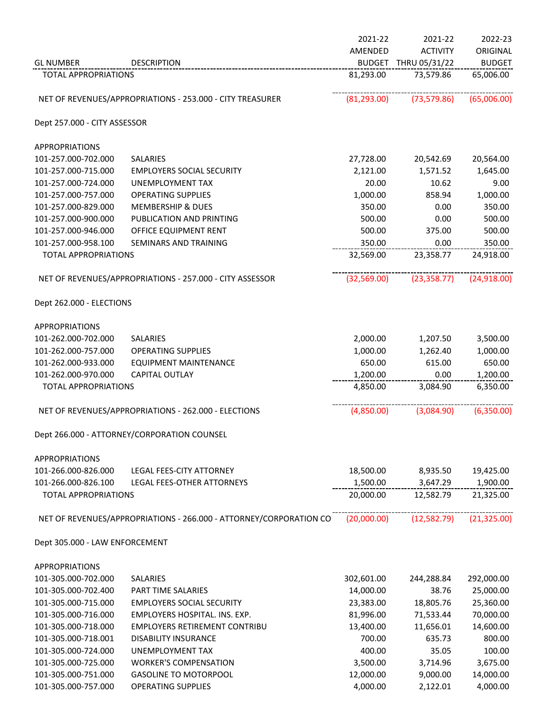|                                |                                                                    | 2021-22      | 2021-22              | 2022-23       |
|--------------------------------|--------------------------------------------------------------------|--------------|----------------------|---------------|
|                                |                                                                    | AMENDED      | <b>ACTIVITY</b>      | ORIGINAL      |
| <b>GL NUMBER</b>               | <b>DESCRIPTION</b>                                                 |              | BUDGET THRU 05/31/22 | <b>BUDGET</b> |
| <b>TOTAL APPROPRIATIONS</b>    |                                                                    | 81,293.00    | 73,579.86            | 65,006.00     |
|                                | NET OF REVENUES/APPROPRIATIONS - 253.000 - CITY TREASURER          | (81, 293.00) | (73, 579.86)         | (65,006.00)   |
| Dept 257.000 - CITY ASSESSOR   |                                                                    |              |                      |               |
| <b>APPROPRIATIONS</b>          |                                                                    |              |                      |               |
| 101-257.000-702.000            | SALARIES                                                           | 27,728.00    | 20,542.69            | 20,564.00     |
| 101-257.000-715.000            | <b>EMPLOYERS SOCIAL SECURITY</b>                                   | 2,121.00     | 1,571.52             | 1,645.00      |
| 101-257.000-724.000            | UNEMPLOYMENT TAX                                                   | 20.00        | 10.62                | 9.00          |
| 101-257.000-757.000            | <b>OPERATING SUPPLIES</b>                                          | 1,000.00     | 858.94               | 1,000.00      |
| 101-257.000-829.000            | <b>MEMBERSHIP &amp; DUES</b>                                       | 350.00       | 0.00                 | 350.00        |
| 101-257.000-900.000            | PUBLICATION AND PRINTING                                           | 500.00       | 0.00                 | 500.00        |
| 101-257.000-946.000            | OFFICE EQUIPMENT RENT                                              | 500.00       | 375.00               | 500.00        |
| 101-257.000-958.100            | SEMINARS AND TRAINING                                              | 350.00       | 0.00                 | 350.00        |
| <b>TOTAL APPROPRIATIONS</b>    |                                                                    | 32,569.00    | 23,358.77            | 24,918.00     |
|                                | NET OF REVENUES/APPROPRIATIONS - 257.000 - CITY ASSESSOR           | (32,569.00)  | (23, 358.77)         | (24,918.00)   |
| Dept 262.000 - ELECTIONS       |                                                                    |              |                      |               |
| <b>APPROPRIATIONS</b>          |                                                                    |              |                      |               |
| 101-262.000-702.000            | SALARIES                                                           | 2,000.00     | 1,207.50             | 3,500.00      |
| 101-262.000-757.000            | <b>OPERATING SUPPLIES</b>                                          | 1,000.00     | 1,262.40             | 1,000.00      |
| 101-262.000-933.000            | <b>EQUIPMENT MAINTENANCE</b>                                       | 650.00       | 615.00               | 650.00        |
| 101-262.000-970.000            | <b>CAPITAL OUTLAY</b>                                              | 1,200.00     | 0.00                 | 1,200.00      |
| <b>TOTAL APPROPRIATIONS</b>    |                                                                    | 4,850.00     | 3,084.90             | 6,350.00      |
|                                | NET OF REVENUES/APPROPRIATIONS - 262.000 - ELECTIONS               | (4,850.00)   | (3,084.90)           | (6,350.00)    |
|                                | Dept 266.000 - ATTORNEY/CORPORATION COUNSEL                        |              |                      |               |
| <b>APPROPRIATIONS</b>          |                                                                    |              |                      |               |
| 101-266.000-826.000            | LEGAL FEES-CITY ATTORNEY                                           | 18,500.00    | 8,935.50             | 19,425.00     |
| 101-266.000-826.100            | LEGAL FEES-OTHER ATTORNEYS                                         | 1,500.00     | 3,647.29             | 1,900.00      |
| <b>TOTAL APPROPRIATIONS</b>    |                                                                    | 20,000.00    | 12,582.79            | 21,325.00     |
|                                | NET OF REVENUES/APPROPRIATIONS - 266.000 - ATTORNEY/CORPORATION CO | (20,000.00)  | (12,582.79)          | (21, 325.00)  |
| Dept 305.000 - LAW ENFORCEMENT |                                                                    |              |                      |               |
| <b>APPROPRIATIONS</b>          |                                                                    |              |                      |               |
| 101-305.000-702.000            | SALARIES                                                           | 302,601.00   | 244,288.84           | 292,000.00    |
| 101-305.000-702.400            | <b>PART TIME SALARIES</b>                                          | 14,000.00    | 38.76                | 25,000.00     |
| 101-305.000-715.000            | <b>EMPLOYERS SOCIAL SECURITY</b>                                   | 23,383.00    | 18,805.76            | 25,360.00     |
| 101-305.000-716.000            | EMPLOYERS HOSPITAL. INS. EXP.                                      | 81,996.00    | 71,533.44            | 70,000.00     |
| 101-305.000-718.000            | <b>EMPLOYERS RETIREMENT CONTRIBU</b>                               | 13,400.00    | 11,656.01            | 14,600.00     |
| 101-305.000-718.001            | <b>DISABILITY INSURANCE</b>                                        | 700.00       | 635.73               | 800.00        |
| 101-305.000-724.000            | UNEMPLOYMENT TAX                                                   | 400.00       | 35.05                | 100.00        |
| 101-305.000-725.000            | <b>WORKER'S COMPENSATION</b>                                       | 3,500.00     | 3,714.96             | 3,675.00      |
| 101-305.000-751.000            | <b>GASOLINE TO MOTORPOOL</b>                                       | 12,000.00    | 9,000.00             | 14,000.00     |

101-305.000-757.000 OPERATING SUPPLIES 4,000.00 2,122.01 4,000.00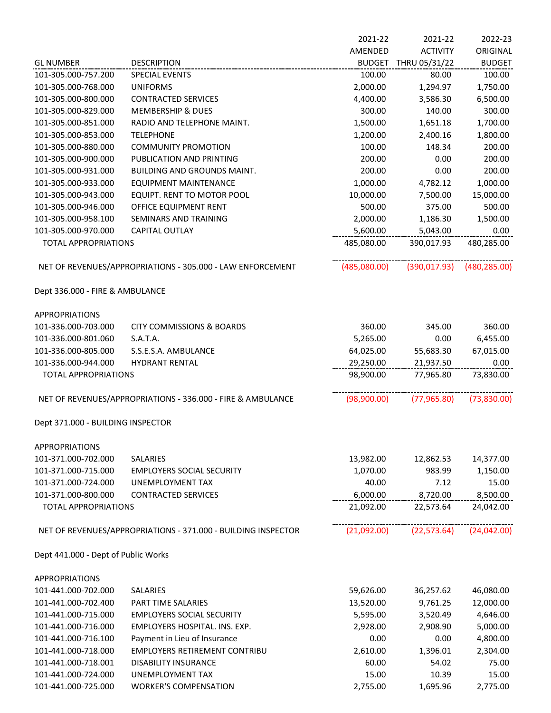|                                     |                                                               | 2021-22       | 2021-22         | 2022-23       |
|-------------------------------------|---------------------------------------------------------------|---------------|-----------------|---------------|
|                                     |                                                               | AMENDED       | <b>ACTIVITY</b> | ORIGINAL      |
| <b>GL NUMBER</b>                    | <b>DESCRIPTION</b>                                            | <b>BUDGET</b> | THRU 05/31/22   | <b>BUDGET</b> |
| 101-305.000-757.200                 | <b>SPECIAL EVENTS</b>                                         | 100.00        | 80.00           | 100.00        |
| 101-305.000-768.000                 | <b>UNIFORMS</b>                                               | 2,000.00      | 1,294.97        | 1,750.00      |
| 101-305.000-800.000                 | <b>CONTRACTED SERVICES</b>                                    | 4,400.00      | 3,586.30        | 6,500.00      |
| 101-305.000-829.000                 | <b>MEMBERSHIP &amp; DUES</b>                                  | 300.00        | 140.00          | 300.00        |
| 101-305.000-851.000                 | RADIO AND TELEPHONE MAINT.                                    | 1,500.00      | 1,651.18        | 1,700.00      |
| 101-305.000-853.000                 | <b>TELEPHONE</b>                                              | 1,200.00      | 2,400.16        | 1,800.00      |
| 101-305.000-880.000                 | <b>COMMUNITY PROMOTION</b>                                    | 100.00        | 148.34          | 200.00        |
| 101-305.000-900.000                 | PUBLICATION AND PRINTING                                      | 200.00        | 0.00            | 200.00        |
| 101-305.000-931.000                 | <b>BUILDING AND GROUNDS MAINT.</b>                            | 200.00        | 0.00            | 200.00        |
| 101-305.000-933.000                 | <b>EQUIPMENT MAINTENANCE</b>                                  | 1,000.00      | 4,782.12        | 1,000.00      |
| 101-305.000-943.000                 | EQUIPT. RENT TO MOTOR POOL                                    | 10,000.00     | 7,500.00        | 15,000.00     |
| 101-305.000-946.000                 | OFFICE EQUIPMENT RENT                                         | 500.00        | 375.00          | 500.00        |
| 101-305.000-958.100                 | SEMINARS AND TRAINING                                         | 2,000.00      | 1,186.30        | 1,500.00      |
| 101-305.000-970.000                 | CAPITAL OUTLAY                                                | 5,600.00      | 5,043.00        | 0.00          |
| <b>TOTAL APPROPRIATIONS</b>         |                                                               | 485,080.00    | 390,017.93      | 480,285.00    |
|                                     | NET OF REVENUES/APPROPRIATIONS - 305.000 - LAW ENFORCEMENT    | (485,080.00)  | (390, 017.93)   | (480, 285.00) |
| Dept 336.000 - FIRE & AMBULANCE     |                                                               |               |                 |               |
| <b>APPROPRIATIONS</b>               |                                                               |               |                 |               |
| 101-336.000-703.000                 | <b>CITY COMMISSIONS &amp; BOARDS</b>                          | 360.00        | 345.00          | 360.00        |
| 101-336.000-801.060                 | S.A.T.A.                                                      | 5,265.00      | 0.00            | 6,455.00      |
| 101-336.000-805.000                 | S.S.E.S.A. AMBULANCE                                          | 64,025.00     | 55,683.30       | 67,015.00     |
| 101-336.000-944.000                 | <b>HYDRANT RENTAL</b>                                         | 29,250.00     | 21,937.50       | 0.00          |
| <b>TOTAL APPROPRIATIONS</b>         |                                                               | 98,900.00     | 77,965.80       | 73,830.00     |
|                                     | NET OF REVENUES/APPROPRIATIONS - 336.000 - FIRE & AMBULANCE   | (98,900.00)   | (77, 965.80)    | (73,830.00)   |
| Dept 371.000 - BUILDING INSPECTOR   |                                                               |               |                 |               |
| <b>APPROPRIATIONS</b>               |                                                               |               |                 |               |
| 101-371.000-702.000                 | <b>SALARIES</b>                                               | 13,982.00     | 12,862.53       | 14,377.00     |
| 101-371.000-715.000                 | <b>EMPLOYERS SOCIAL SECURITY</b>                              | 1,070.00      | 983.99          | 1,150.00      |
| 101-371.000-724.000                 | UNEMPLOYMENT TAX                                              | 40.00         | 7.12            | 15.00         |
| 101-371.000-800.000                 | <b>CONTRACTED SERVICES</b>                                    | 6,000.00      | 8,720.00        | 8,500.00      |
| <b>TOTAL APPROPRIATIONS</b>         |                                                               | 21,092.00     | 22,573.64       | 24,042.00     |
|                                     | NET OF REVENUES/APPROPRIATIONS - 371.000 - BUILDING INSPECTOR | (21,092.00)   | (22, 573.64)    | (24,042.00)   |
| Dept 441.000 - Dept of Public Works |                                                               |               |                 |               |
| <b>APPROPRIATIONS</b>               |                                                               |               |                 |               |
| 101-441.000-702.000                 | SALARIES                                                      | 59,626.00     | 36,257.62       | 46,080.00     |
| 101-441.000-702.400                 | <b>PART TIME SALARIES</b>                                     | 13,520.00     | 9,761.25        | 12,000.00     |
| 101-441.000-715.000                 | <b>EMPLOYERS SOCIAL SECURITY</b>                              | 5,595.00      | 3,520.49        | 4,646.00      |
| 101-441.000-716.000                 | EMPLOYERS HOSPITAL. INS. EXP.                                 | 2,928.00      | 2,908.90        | 5,000.00      |
| 101-441.000-716.100                 | Payment in Lieu of Insurance                                  | 0.00          | 0.00            | 4,800.00      |
| 101-441.000-718.000                 | <b>EMPLOYERS RETIREMENT CONTRIBU</b>                          | 2,610.00      | 1,396.01        | 2,304.00      |
| 101-441.000-718.001                 | <b>DISABILITY INSURANCE</b>                                   | 60.00         | 54.02           | 75.00         |
| 101-441.000-724.000                 | UNEMPLOYMENT TAX                                              | 15.00         | 10.39           | 15.00         |
| 101-441.000-725.000                 | <b>WORKER'S COMPENSATION</b>                                  | 2,755.00      | 1,695.96        | 2,775.00      |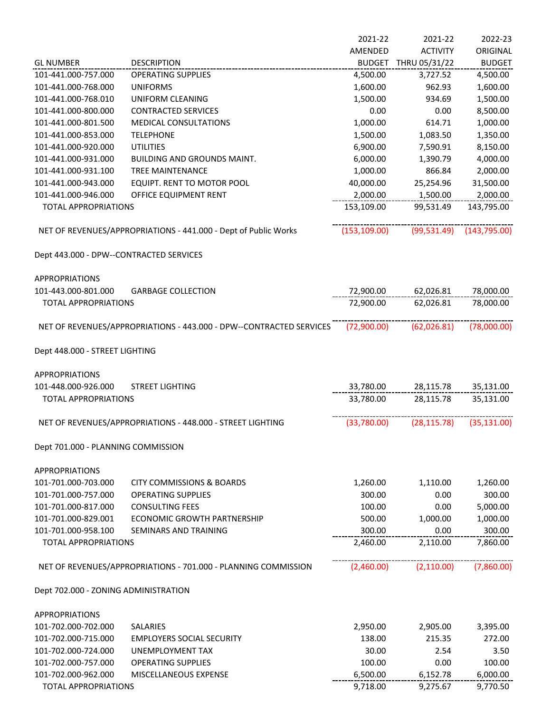|                                                    |                                                                     | 2021-22              | 2021-22         | 2022-23              |
|----------------------------------------------------|---------------------------------------------------------------------|----------------------|-----------------|----------------------|
|                                                    |                                                                     | AMENDED              | <b>ACTIVITY</b> | ORIGINAL             |
| <b>GL NUMBER</b>                                   | <b>DESCRIPTION</b>                                                  | <b>BUDGET</b>        | THRU 05/31/22   | <b>BUDGET</b>        |
| 101-441.000-757.000                                | <b>OPERATING SUPPLIES</b>                                           | 4,500.00             | 3,727.52        | 4,500.00             |
| 101-441.000-768.000                                | <b>UNIFORMS</b>                                                     | 1,600.00             | 962.93          | 1,600.00             |
| 101-441.000-768.010                                | UNIFORM CLEANING                                                    | 1,500.00             | 934.69          | 1,500.00             |
| 101-441.000-800.000                                | <b>CONTRACTED SERVICES</b>                                          | 0.00                 | 0.00            | 8,500.00             |
| 101-441.000-801.500                                | <b>MEDICAL CONSULTATIONS</b>                                        | 1,000.00             | 614.71          | 1,000.00             |
| 101-441.000-853.000                                | <b>TELEPHONE</b>                                                    | 1,500.00             | 1,083.50        | 1,350.00             |
| 101-441.000-920.000                                | <b>UTILITIES</b>                                                    | 6,900.00             | 7,590.91        | 8,150.00             |
| 101-441.000-931.000                                | <b>BUILDING AND GROUNDS MAINT.</b>                                  | 6,000.00             | 1,390.79        | 4,000.00             |
| 101-441.000-931.100                                | TREE MAINTENANCE                                                    | 1,000.00             | 866.84          | 2,000.00             |
| 101-441.000-943.000                                | EQUIPT. RENT TO MOTOR POOL                                          | 40,000.00            | 25,254.96       | 31,500.00            |
| 101-441.000-946.000                                | OFFICE EQUIPMENT RENT                                               | 2,000.00             | 1,500.00        | 2,000.00             |
| <b>TOTAL APPROPRIATIONS</b>                        |                                                                     | 153,109.00           | 99,531.49       | 143,795.00           |
|                                                    |                                                                     |                      |                 |                      |
|                                                    | NET OF REVENUES/APPROPRIATIONS - 441.000 - Dept of Public Works     | (153, 109.00)        | (99, 531.49)    | (143, 795.00)        |
| Dept 443.000 - DPW--CONTRACTED SERVICES            |                                                                     |                      |                 |                      |
| <b>APPROPRIATIONS</b>                              |                                                                     |                      |                 |                      |
| 101-443.000-801.000                                | <b>GARBAGE COLLECTION</b>                                           | 72,900.00            | 62,026.81       | 78,000.00            |
| <b>TOTAL APPROPRIATIONS</b>                        |                                                                     | 72,900.00            | 62,026.81       | 78,000.00            |
|                                                    | NET OF REVENUES/APPROPRIATIONS - 443.000 - DPW--CONTRACTED SERVICES | (72,900.00)          | (62,026.81)     | (78,000.00)          |
|                                                    |                                                                     |                      |                 |                      |
| Dept 448.000 - STREET LIGHTING                     |                                                                     |                      |                 |                      |
| <b>APPROPRIATIONS</b>                              |                                                                     |                      |                 |                      |
| 101-448.000-926.000                                | <b>STREET LIGHTING</b>                                              | 33,780.00            | 28,115.78       | 35,131.00            |
| <b>TOTAL APPROPRIATIONS</b>                        |                                                                     | 33,780.00            | 28,115.78       | 35,131.00            |
|                                                    | NET OF REVENUES/APPROPRIATIONS - 448.000 - STREET LIGHTING          | (33,780.00)          | (28, 115.78)    | (35, 131.00)         |
| Dept 701.000 - PLANNING COMMISSION                 |                                                                     |                      |                 |                      |
| <b>APPROPRIATIONS</b>                              |                                                                     |                      |                 |                      |
| 101-701.000-703.000                                | <b>CITY COMMISSIONS &amp; BOARDS</b>                                | 1,260.00             | 1,110.00        | 1,260.00             |
| 101-701.000-757.000                                | <b>OPERATING SUPPLIES</b>                                           | 300.00               | 0.00            | 300.00               |
| 101-701.000-817.000                                | <b>CONSULTING FEES</b>                                              | 100.00               | 0.00            | 5,000.00             |
| 101-701.000-829.001                                | ECONOMIC GROWTH PARTNERSHIP                                         | 500.00               | 1,000.00        | 1,000.00             |
| 101-701.000-958.100                                | <b>SEMINARS AND TRAINING</b>                                        | 300.00               | 0.00            | 300.00               |
| <b>TOTAL APPROPRIATIONS</b>                        |                                                                     | 2,460.00             | 2,110.00        | 7,860.00             |
|                                                    | NET OF REVENUES/APPROPRIATIONS - 701.000 - PLANNING COMMISSION      | (2,460.00)           | (2, 110.00)     | (7,860.00)           |
| Dept 702.000 - ZONING ADMINISTRATION               |                                                                     |                      |                 |                      |
| <b>APPROPRIATIONS</b>                              |                                                                     |                      |                 |                      |
| 101-702.000-702.000                                | <b>SALARIES</b>                                                     | 2,950.00             | 2,905.00        | 3,395.00             |
| 101-702.000-715.000                                | <b>EMPLOYERS SOCIAL SECURITY</b>                                    | 138.00               | 215.35          | 272.00               |
| 101-702.000-724.000                                | UNEMPLOYMENT TAX                                                    | 30.00                | 2.54            | 3.50                 |
|                                                    |                                                                     |                      |                 |                      |
| 101-702.000-757.000                                | <b>OPERATING SUPPLIES</b>                                           | 100.00               | 0.00            | 100.00               |
| 101-702.000-962.000<br><b>TOTAL APPROPRIATIONS</b> | MISCELLANEOUS EXPENSE                                               | 6,500.00<br>9,718.00 | 6,152.78        | 6,000.00<br>9,770.50 |
|                                                    |                                                                     |                      | 9,275.67        |                      |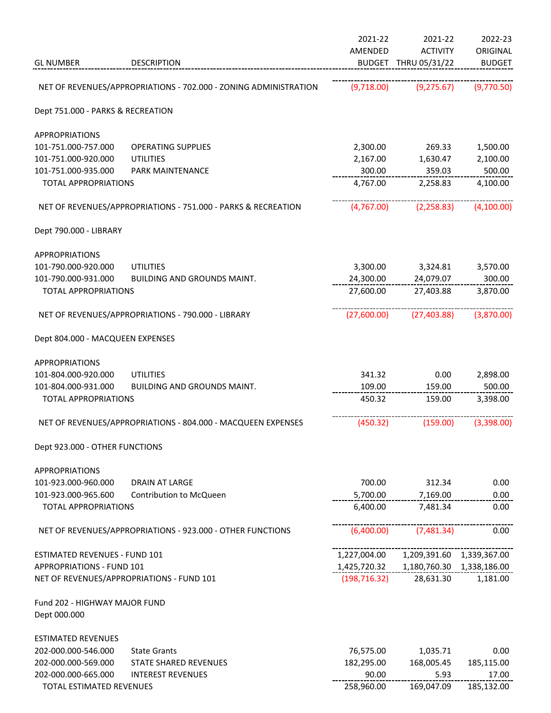| AMENDED<br><b>ACTIVITY</b><br><b>GL NUMBER</b><br><b>DESCRIPTION</b><br>BUDGET THRU 05/31/22<br>NET OF REVENUES/APPROPRIATIONS - 702.000 - ZONING ADMINISTRATION<br>(9,718.00)<br>(9, 275.67)<br>Dept 751.000 - PARKS & RECREATION<br><b>APPROPRIATIONS</b><br>101-751.000-757.000<br>2,300.00<br>1,500.00<br><b>OPERATING SUPPLIES</b><br>269.33<br>2,167.00<br>101-751.000-920.000<br><b>UTILITIES</b><br>1,630.47<br>2,100.00<br>300.00<br>500.00<br>101-751.000-935.000<br>359.03<br><b>PARK MAINTENANCE</b><br>4,767.00<br>4,100.00<br><b>TOTAL APPROPRIATIONS</b><br>2,258.83<br>NET OF REVENUES/APPROPRIATIONS - 751.000 - PARKS & RECREATION<br>(4,767.00)<br>(2, 258.83)<br>Dept 790.000 - LIBRARY<br><b>APPROPRIATIONS</b><br>101-790.000-920.000<br><b>UTILITIES</b><br>3,300.00<br>3,324.81<br>3,570.00<br>300.00<br>101-790.000-931.000<br>24,300.00<br>24,079.07<br><b>BUILDING AND GROUNDS MAINT.</b><br>3,870.00<br>27,600.00<br>27,403.88<br><b>TOTAL APPROPRIATIONS</b><br>(27,600.00)<br>(27, 403.88)<br>NET OF REVENUES/APPROPRIATIONS - 790.000 - LIBRARY<br>Dept 804.000 - MACQUEEN EXPENSES<br><b>APPROPRIATIONS</b><br>101-804.000-920.000<br><b>UTILITIES</b><br>341.32<br>0.00<br>2,898.00<br>101-804.000-931.000<br>BUILDING AND GROUNDS MAINT.<br>109.00<br>159.00<br>500.00<br>3,398.00<br><b>TOTAL APPROPRIATIONS</b><br>450.32<br>159.00<br>NET OF REVENUES/APPROPRIATIONS - 804.000 - MACQUEEN EXPENSES<br>(450.32)<br>(159.00)<br>Dept 923.000 - OTHER FUNCTIONS<br><b>APPROPRIATIONS</b><br>101-923.000-960.000<br>700.00<br>312.34<br>0.00<br><b>DRAIN AT LARGE</b><br>5,700.00<br>101-923.000-965.600<br>Contribution to McQueen<br>7,169.00<br>0.00<br>6,400.00<br>7,481.34<br><b>TOTAL APPROPRIATIONS</b><br>0.00<br>(6,400.00)<br>NET OF REVENUES/APPROPRIATIONS - 923.000 - OTHER FUNCTIONS<br>(7,481.34)<br>0.00<br><b>ESTIMATED REVENUES - FUND 101</b><br>1,227,004.00<br>1,209,391.60<br>1,339,367.00<br><b>APPROPRIATIONS - FUND 101</b><br>1,425,720.32<br>1,180,760.30  1,338,186.00<br>NET OF REVENUES/APPROPRIATIONS - FUND 101<br>(198, 716.32)<br>28,631.30<br>1,181.00<br>Fund 202 - HIGHWAY MAJOR FUND<br>Dept 000.000<br><b>ESTIMATED REVENUES</b><br>76,575.00<br>202-000.000-546.000<br><b>State Grants</b><br>1,035.71<br>0.00<br>202-000.000-569.000<br>STATE SHARED REVENUES<br>182,295.00<br>168,005.45<br>185,115.00<br>90.00<br>17.00<br>202-000.000-665.000<br><b>INTEREST REVENUES</b><br>5.93<br>258,960.00<br>TOTAL ESTIMATED REVENUES<br>169,047.09<br>185,132.00 |  | 2021-22 | 2021-22 | 2022-23       |
|--------------------------------------------------------------------------------------------------------------------------------------------------------------------------------------------------------------------------------------------------------------------------------------------------------------------------------------------------------------------------------------------------------------------------------------------------------------------------------------------------------------------------------------------------------------------------------------------------------------------------------------------------------------------------------------------------------------------------------------------------------------------------------------------------------------------------------------------------------------------------------------------------------------------------------------------------------------------------------------------------------------------------------------------------------------------------------------------------------------------------------------------------------------------------------------------------------------------------------------------------------------------------------------------------------------------------------------------------------------------------------------------------------------------------------------------------------------------------------------------------------------------------------------------------------------------------------------------------------------------------------------------------------------------------------------------------------------------------------------------------------------------------------------------------------------------------------------------------------------------------------------------------------------------------------------------------------------------------------------------------------------------------------------------------------------------------------------------------------------------------------------------------------------------------------------------------------------------------------------------------------------------------------------------------------------------------------------------------------------------------------------------------------------------------------------------------------------------------------------------------------------------------------------|--|---------|---------|---------------|
|                                                                                                                                                                                                                                                                                                                                                                                                                                                                                                                                                                                                                                                                                                                                                                                                                                                                                                                                                                                                                                                                                                                                                                                                                                                                                                                                                                                                                                                                                                                                                                                                                                                                                                                                                                                                                                                                                                                                                                                                                                                                                                                                                                                                                                                                                                                                                                                                                                                                                                                                      |  |         |         | ORIGINAL      |
|                                                                                                                                                                                                                                                                                                                                                                                                                                                                                                                                                                                                                                                                                                                                                                                                                                                                                                                                                                                                                                                                                                                                                                                                                                                                                                                                                                                                                                                                                                                                                                                                                                                                                                                                                                                                                                                                                                                                                                                                                                                                                                                                                                                                                                                                                                                                                                                                                                                                                                                                      |  |         |         | <b>BUDGET</b> |
|                                                                                                                                                                                                                                                                                                                                                                                                                                                                                                                                                                                                                                                                                                                                                                                                                                                                                                                                                                                                                                                                                                                                                                                                                                                                                                                                                                                                                                                                                                                                                                                                                                                                                                                                                                                                                                                                                                                                                                                                                                                                                                                                                                                                                                                                                                                                                                                                                                                                                                                                      |  |         |         | (9,770.50)    |
|                                                                                                                                                                                                                                                                                                                                                                                                                                                                                                                                                                                                                                                                                                                                                                                                                                                                                                                                                                                                                                                                                                                                                                                                                                                                                                                                                                                                                                                                                                                                                                                                                                                                                                                                                                                                                                                                                                                                                                                                                                                                                                                                                                                                                                                                                                                                                                                                                                                                                                                                      |  |         |         |               |
|                                                                                                                                                                                                                                                                                                                                                                                                                                                                                                                                                                                                                                                                                                                                                                                                                                                                                                                                                                                                                                                                                                                                                                                                                                                                                                                                                                                                                                                                                                                                                                                                                                                                                                                                                                                                                                                                                                                                                                                                                                                                                                                                                                                                                                                                                                                                                                                                                                                                                                                                      |  |         |         |               |
|                                                                                                                                                                                                                                                                                                                                                                                                                                                                                                                                                                                                                                                                                                                                                                                                                                                                                                                                                                                                                                                                                                                                                                                                                                                                                                                                                                                                                                                                                                                                                                                                                                                                                                                                                                                                                                                                                                                                                                                                                                                                                                                                                                                                                                                                                                                                                                                                                                                                                                                                      |  |         |         |               |
|                                                                                                                                                                                                                                                                                                                                                                                                                                                                                                                                                                                                                                                                                                                                                                                                                                                                                                                                                                                                                                                                                                                                                                                                                                                                                                                                                                                                                                                                                                                                                                                                                                                                                                                                                                                                                                                                                                                                                                                                                                                                                                                                                                                                                                                                                                                                                                                                                                                                                                                                      |  |         |         |               |
|                                                                                                                                                                                                                                                                                                                                                                                                                                                                                                                                                                                                                                                                                                                                                                                                                                                                                                                                                                                                                                                                                                                                                                                                                                                                                                                                                                                                                                                                                                                                                                                                                                                                                                                                                                                                                                                                                                                                                                                                                                                                                                                                                                                                                                                                                                                                                                                                                                                                                                                                      |  |         |         |               |
|                                                                                                                                                                                                                                                                                                                                                                                                                                                                                                                                                                                                                                                                                                                                                                                                                                                                                                                                                                                                                                                                                                                                                                                                                                                                                                                                                                                                                                                                                                                                                                                                                                                                                                                                                                                                                                                                                                                                                                                                                                                                                                                                                                                                                                                                                                                                                                                                                                                                                                                                      |  |         |         |               |
|                                                                                                                                                                                                                                                                                                                                                                                                                                                                                                                                                                                                                                                                                                                                                                                                                                                                                                                                                                                                                                                                                                                                                                                                                                                                                                                                                                                                                                                                                                                                                                                                                                                                                                                                                                                                                                                                                                                                                                                                                                                                                                                                                                                                                                                                                                                                                                                                                                                                                                                                      |  |         |         | (4,100.00)    |
|                                                                                                                                                                                                                                                                                                                                                                                                                                                                                                                                                                                                                                                                                                                                                                                                                                                                                                                                                                                                                                                                                                                                                                                                                                                                                                                                                                                                                                                                                                                                                                                                                                                                                                                                                                                                                                                                                                                                                                                                                                                                                                                                                                                                                                                                                                                                                                                                                                                                                                                                      |  |         |         |               |
|                                                                                                                                                                                                                                                                                                                                                                                                                                                                                                                                                                                                                                                                                                                                                                                                                                                                                                                                                                                                                                                                                                                                                                                                                                                                                                                                                                                                                                                                                                                                                                                                                                                                                                                                                                                                                                                                                                                                                                                                                                                                                                                                                                                                                                                                                                                                                                                                                                                                                                                                      |  |         |         |               |
|                                                                                                                                                                                                                                                                                                                                                                                                                                                                                                                                                                                                                                                                                                                                                                                                                                                                                                                                                                                                                                                                                                                                                                                                                                                                                                                                                                                                                                                                                                                                                                                                                                                                                                                                                                                                                                                                                                                                                                                                                                                                                                                                                                                                                                                                                                                                                                                                                                                                                                                                      |  |         |         |               |
|                                                                                                                                                                                                                                                                                                                                                                                                                                                                                                                                                                                                                                                                                                                                                                                                                                                                                                                                                                                                                                                                                                                                                                                                                                                                                                                                                                                                                                                                                                                                                                                                                                                                                                                                                                                                                                                                                                                                                                                                                                                                                                                                                                                                                                                                                                                                                                                                                                                                                                                                      |  |         |         |               |
|                                                                                                                                                                                                                                                                                                                                                                                                                                                                                                                                                                                                                                                                                                                                                                                                                                                                                                                                                                                                                                                                                                                                                                                                                                                                                                                                                                                                                                                                                                                                                                                                                                                                                                                                                                                                                                                                                                                                                                                                                                                                                                                                                                                                                                                                                                                                                                                                                                                                                                                                      |  |         |         |               |
|                                                                                                                                                                                                                                                                                                                                                                                                                                                                                                                                                                                                                                                                                                                                                                                                                                                                                                                                                                                                                                                                                                                                                                                                                                                                                                                                                                                                                                                                                                                                                                                                                                                                                                                                                                                                                                                                                                                                                                                                                                                                                                                                                                                                                                                                                                                                                                                                                                                                                                                                      |  |         |         | (3,870.00)    |
|                                                                                                                                                                                                                                                                                                                                                                                                                                                                                                                                                                                                                                                                                                                                                                                                                                                                                                                                                                                                                                                                                                                                                                                                                                                                                                                                                                                                                                                                                                                                                                                                                                                                                                                                                                                                                                                                                                                                                                                                                                                                                                                                                                                                                                                                                                                                                                                                                                                                                                                                      |  |         |         |               |
|                                                                                                                                                                                                                                                                                                                                                                                                                                                                                                                                                                                                                                                                                                                                                                                                                                                                                                                                                                                                                                                                                                                                                                                                                                                                                                                                                                                                                                                                                                                                                                                                                                                                                                                                                                                                                                                                                                                                                                                                                                                                                                                                                                                                                                                                                                                                                                                                                                                                                                                                      |  |         |         |               |
|                                                                                                                                                                                                                                                                                                                                                                                                                                                                                                                                                                                                                                                                                                                                                                                                                                                                                                                                                                                                                                                                                                                                                                                                                                                                                                                                                                                                                                                                                                                                                                                                                                                                                                                                                                                                                                                                                                                                                                                                                                                                                                                                                                                                                                                                                                                                                                                                                                                                                                                                      |  |         |         |               |
|                                                                                                                                                                                                                                                                                                                                                                                                                                                                                                                                                                                                                                                                                                                                                                                                                                                                                                                                                                                                                                                                                                                                                                                                                                                                                                                                                                                                                                                                                                                                                                                                                                                                                                                                                                                                                                                                                                                                                                                                                                                                                                                                                                                                                                                                                                                                                                                                                                                                                                                                      |  |         |         |               |
|                                                                                                                                                                                                                                                                                                                                                                                                                                                                                                                                                                                                                                                                                                                                                                                                                                                                                                                                                                                                                                                                                                                                                                                                                                                                                                                                                                                                                                                                                                                                                                                                                                                                                                                                                                                                                                                                                                                                                                                                                                                                                                                                                                                                                                                                                                                                                                                                                                                                                                                                      |  |         |         |               |
|                                                                                                                                                                                                                                                                                                                                                                                                                                                                                                                                                                                                                                                                                                                                                                                                                                                                                                                                                                                                                                                                                                                                                                                                                                                                                                                                                                                                                                                                                                                                                                                                                                                                                                                                                                                                                                                                                                                                                                                                                                                                                                                                                                                                                                                                                                                                                                                                                                                                                                                                      |  |         |         | (3,398.00)    |
|                                                                                                                                                                                                                                                                                                                                                                                                                                                                                                                                                                                                                                                                                                                                                                                                                                                                                                                                                                                                                                                                                                                                                                                                                                                                                                                                                                                                                                                                                                                                                                                                                                                                                                                                                                                                                                                                                                                                                                                                                                                                                                                                                                                                                                                                                                                                                                                                                                                                                                                                      |  |         |         |               |
|                                                                                                                                                                                                                                                                                                                                                                                                                                                                                                                                                                                                                                                                                                                                                                                                                                                                                                                                                                                                                                                                                                                                                                                                                                                                                                                                                                                                                                                                                                                                                                                                                                                                                                                                                                                                                                                                                                                                                                                                                                                                                                                                                                                                                                                                                                                                                                                                                                                                                                                                      |  |         |         |               |
|                                                                                                                                                                                                                                                                                                                                                                                                                                                                                                                                                                                                                                                                                                                                                                                                                                                                                                                                                                                                                                                                                                                                                                                                                                                                                                                                                                                                                                                                                                                                                                                                                                                                                                                                                                                                                                                                                                                                                                                                                                                                                                                                                                                                                                                                                                                                                                                                                                                                                                                                      |  |         |         |               |
|                                                                                                                                                                                                                                                                                                                                                                                                                                                                                                                                                                                                                                                                                                                                                                                                                                                                                                                                                                                                                                                                                                                                                                                                                                                                                                                                                                                                                                                                                                                                                                                                                                                                                                                                                                                                                                                                                                                                                                                                                                                                                                                                                                                                                                                                                                                                                                                                                                                                                                                                      |  |         |         |               |
|                                                                                                                                                                                                                                                                                                                                                                                                                                                                                                                                                                                                                                                                                                                                                                                                                                                                                                                                                                                                                                                                                                                                                                                                                                                                                                                                                                                                                                                                                                                                                                                                                                                                                                                                                                                                                                                                                                                                                                                                                                                                                                                                                                                                                                                                                                                                                                                                                                                                                                                                      |  |         |         |               |
|                                                                                                                                                                                                                                                                                                                                                                                                                                                                                                                                                                                                                                                                                                                                                                                                                                                                                                                                                                                                                                                                                                                                                                                                                                                                                                                                                                                                                                                                                                                                                                                                                                                                                                                                                                                                                                                                                                                                                                                                                                                                                                                                                                                                                                                                                                                                                                                                                                                                                                                                      |  |         |         |               |
|                                                                                                                                                                                                                                                                                                                                                                                                                                                                                                                                                                                                                                                                                                                                                                                                                                                                                                                                                                                                                                                                                                                                                                                                                                                                                                                                                                                                                                                                                                                                                                                                                                                                                                                                                                                                                                                                                                                                                                                                                                                                                                                                                                                                                                                                                                                                                                                                                                                                                                                                      |  |         |         |               |
|                                                                                                                                                                                                                                                                                                                                                                                                                                                                                                                                                                                                                                                                                                                                                                                                                                                                                                                                                                                                                                                                                                                                                                                                                                                                                                                                                                                                                                                                                                                                                                                                                                                                                                                                                                                                                                                                                                                                                                                                                                                                                                                                                                                                                                                                                                                                                                                                                                                                                                                                      |  |         |         |               |
|                                                                                                                                                                                                                                                                                                                                                                                                                                                                                                                                                                                                                                                                                                                                                                                                                                                                                                                                                                                                                                                                                                                                                                                                                                                                                                                                                                                                                                                                                                                                                                                                                                                                                                                                                                                                                                                                                                                                                                                                                                                                                                                                                                                                                                                                                                                                                                                                                                                                                                                                      |  |         |         |               |
|                                                                                                                                                                                                                                                                                                                                                                                                                                                                                                                                                                                                                                                                                                                                                                                                                                                                                                                                                                                                                                                                                                                                                                                                                                                                                                                                                                                                                                                                                                                                                                                                                                                                                                                                                                                                                                                                                                                                                                                                                                                                                                                                                                                                                                                                                                                                                                                                                                                                                                                                      |  |         |         |               |
|                                                                                                                                                                                                                                                                                                                                                                                                                                                                                                                                                                                                                                                                                                                                                                                                                                                                                                                                                                                                                                                                                                                                                                                                                                                                                                                                                                                                                                                                                                                                                                                                                                                                                                                                                                                                                                                                                                                                                                                                                                                                                                                                                                                                                                                                                                                                                                                                                                                                                                                                      |  |         |         |               |
|                                                                                                                                                                                                                                                                                                                                                                                                                                                                                                                                                                                                                                                                                                                                                                                                                                                                                                                                                                                                                                                                                                                                                                                                                                                                                                                                                                                                                                                                                                                                                                                                                                                                                                                                                                                                                                                                                                                                                                                                                                                                                                                                                                                                                                                                                                                                                                                                                                                                                                                                      |  |         |         |               |
|                                                                                                                                                                                                                                                                                                                                                                                                                                                                                                                                                                                                                                                                                                                                                                                                                                                                                                                                                                                                                                                                                                                                                                                                                                                                                                                                                                                                                                                                                                                                                                                                                                                                                                                                                                                                                                                                                                                                                                                                                                                                                                                                                                                                                                                                                                                                                                                                                                                                                                                                      |  |         |         |               |
|                                                                                                                                                                                                                                                                                                                                                                                                                                                                                                                                                                                                                                                                                                                                                                                                                                                                                                                                                                                                                                                                                                                                                                                                                                                                                                                                                                                                                                                                                                                                                                                                                                                                                                                                                                                                                                                                                                                                                                                                                                                                                                                                                                                                                                                                                                                                                                                                                                                                                                                                      |  |         |         |               |
|                                                                                                                                                                                                                                                                                                                                                                                                                                                                                                                                                                                                                                                                                                                                                                                                                                                                                                                                                                                                                                                                                                                                                                                                                                                                                                                                                                                                                                                                                                                                                                                                                                                                                                                                                                                                                                                                                                                                                                                                                                                                                                                                                                                                                                                                                                                                                                                                                                                                                                                                      |  |         |         |               |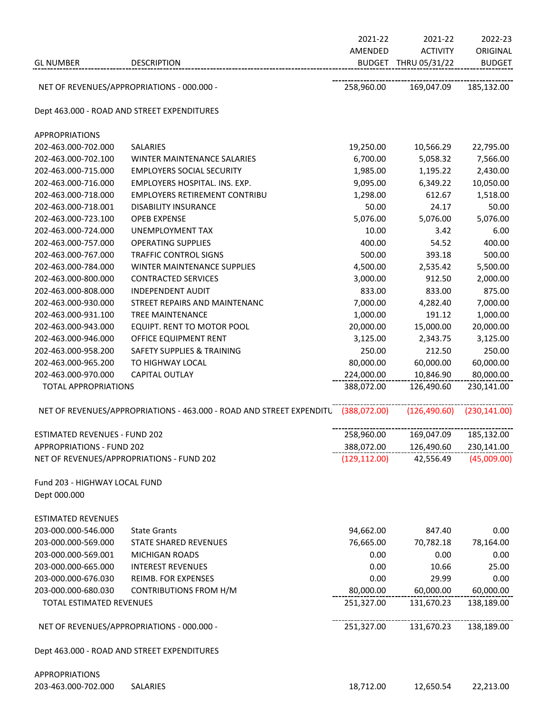|                                      |                                                                      | 2021-22       | 2021-22              | 2022-23       |
|--------------------------------------|----------------------------------------------------------------------|---------------|----------------------|---------------|
|                                      |                                                                      | AMENDED       | <b>ACTIVITY</b>      | ORIGINAL      |
| <b>GL NUMBER</b>                     | <b>DESCRIPTION</b>                                                   |               | BUDGET THRU 05/31/22 | <b>BUDGET</b> |
|                                      |                                                                      |               |                      |               |
|                                      | NET OF REVENUES/APPROPRIATIONS - 000.000 -                           | 258,960.00    | 169,047.09           | 185,132.00    |
|                                      | Dept 463.000 - ROAD AND STREET EXPENDITURES                          |               |                      |               |
| <b>APPROPRIATIONS</b>                |                                                                      |               |                      |               |
| 202-463.000-702.000                  | <b>SALARIES</b>                                                      | 19,250.00     | 10,566.29            | 22,795.00     |
| 202-463.000-702.100                  | WINTER MAINTENANCE SALARIES                                          | 6,700.00      | 5,058.32             | 7,566.00      |
| 202-463.000-715.000                  | <b>EMPLOYERS SOCIAL SECURITY</b>                                     | 1,985.00      | 1,195.22             | 2,430.00      |
| 202-463.000-716.000                  | EMPLOYERS HOSPITAL. INS. EXP.                                        | 9,095.00      | 6,349.22             | 10,050.00     |
| 202-463.000-718.000                  | <b>EMPLOYERS RETIREMENT CONTRIBU</b>                                 | 1,298.00      | 612.67               | 1,518.00      |
| 202-463.000-718.001                  | <b>DISABILITY INSURANCE</b>                                          | 50.00         | 24.17                | 50.00         |
| 202-463.000-723.100                  | <b>OPEB EXPENSE</b>                                                  | 5,076.00      | 5,076.00             | 5,076.00      |
| 202-463.000-724.000                  | <b>UNEMPLOYMENT TAX</b>                                              | 10.00         | 3.42                 | 6.00          |
| 202-463.000-757.000                  | <b>OPERATING SUPPLIES</b>                                            | 400.00        | 54.52                | 400.00        |
| 202-463.000-767.000                  | <b>TRAFFIC CONTROL SIGNS</b>                                         | 500.00        | 393.18               | 500.00        |
| 202-463.000-784.000                  | WINTER MAINTENANCE SUPPLIES                                          | 4,500.00      | 2,535.42             | 5,500.00      |
| 202-463.000-800.000                  | <b>CONTRACTED SERVICES</b>                                           | 3,000.00      | 912.50               | 2,000.00      |
| 202-463.000-808.000                  | <b>INDEPENDENT AUDIT</b>                                             | 833.00        | 833.00               | 875.00        |
| 202-463.000-930.000                  | STREET REPAIRS AND MAINTENANC                                        | 7,000.00      | 4,282.40             | 7,000.00      |
| 202-463.000-931.100                  | TREE MAINTENANCE                                                     | 1,000.00      | 191.12               | 1,000.00      |
| 202-463.000-943.000                  | EQUIPT. RENT TO MOTOR POOL                                           | 20,000.00     | 15,000.00            | 20,000.00     |
| 202-463.000-946.000                  | OFFICE EQUIPMENT RENT                                                | 3,125.00      | 2,343.75             | 3,125.00      |
| 202-463.000-958.200                  | <b>SAFETY SUPPLIES &amp; TRAINING</b>                                | 250.00        | 212.50               | 250.00        |
| 202-463.000-965.200                  | TO HIGHWAY LOCAL                                                     | 80,000.00     | 60,000.00            | 60,000.00     |
| 202-463.000-970.000                  | <b>CAPITAL OUTLAY</b>                                                | 224,000.00    | 10,846.90            | 80,000.00     |
| <b>TOTAL APPROPRIATIONS</b>          |                                                                      | 388,072.00    | 126,490.60           | 230,141.00    |
|                                      |                                                                      |               |                      |               |
|                                      | NET OF REVENUES/APPROPRIATIONS - 463.000 - ROAD AND STREET EXPENDITU | (388,072.00)  | (126, 490.60)        | (230, 141.00) |
| <b>ESTIMATED REVENUES - FUND 202</b> |                                                                      | 258,960.00    | 169,047.09           | 185,132.00    |
| <b>APPROPRIATIONS - FUND 202</b>     |                                                                      | 388,072.00    | 126,490.60           | 230,141.00    |
|                                      | NET OF REVENUES/APPROPRIATIONS - FUND 202                            | (129, 112.00) | 42,556.49            | (45,009.00)   |
| Fund 203 - HIGHWAY LOCAL FUND        |                                                                      |               |                      |               |
| Dept 000.000                         |                                                                      |               |                      |               |
| <b>ESTIMATED REVENUES</b>            |                                                                      |               |                      |               |
| 203-000.000-546.000                  | <b>State Grants</b>                                                  | 94,662.00     | 847.40               | 0.00          |
| 203-000.000-569.000                  | <b>STATE SHARED REVENUES</b>                                         | 76,665.00     | 70,782.18            | 78,164.00     |
| 203-000.000-569.001                  | <b>MICHIGAN ROADS</b>                                                | 0.00          | 0.00                 | 0.00          |
| 203-000.000-665.000                  | <b>INTEREST REVENUES</b>                                             | 0.00          | 10.66                | 25.00         |
| 203-000.000-676.030                  | REIMB. FOR EXPENSES                                                  | 0.00          | 29.99                | 0.00          |
| 203-000.000-680.030                  | <b>CONTRIBUTIONS FROM H/M</b>                                        | 80,000.00     | 60,000.00            | 60,000.00     |
| <b>TOTAL ESTIMATED REVENUES</b>      |                                                                      | 251,327.00    | 131,670.23           | 138,189.00    |
|                                      | NET OF REVENUES/APPROPRIATIONS - 000.000 -                           | 251,327.00    | 131,670.23           | 138,189.00    |
|                                      | Dept 463.000 - ROAD AND STREET EXPENDITURES                          |               |                      |               |
| ,,,,,,,,,                            |                                                                      |               |                      |               |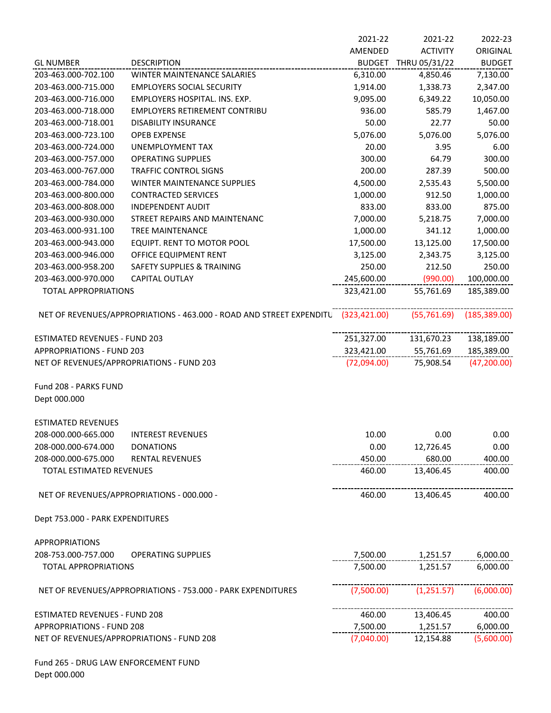|                                           |                                                                      | 2021-22      | 2021-22              | 2022-23       |
|-------------------------------------------|----------------------------------------------------------------------|--------------|----------------------|---------------|
|                                           |                                                                      | AMENDED      | <b>ACTIVITY</b>      | ORIGINAL      |
| <b>GL NUMBER</b>                          | <b>DESCRIPTION</b>                                                   |              | BUDGET THRU 05/31/22 | <b>BUDGET</b> |
| 203-463.000-702.100                       | <b>WINTER MAINTENANCE SALARIES</b>                                   | 6,310.00     | 4,850.46             | 7,130.00      |
| 203-463.000-715.000                       | <b>EMPLOYERS SOCIAL SECURITY</b>                                     | 1,914.00     | 1,338.73             | 2,347.00      |
| 203-463.000-716.000                       | EMPLOYERS HOSPITAL. INS. EXP.                                        | 9,095.00     | 6,349.22             | 10,050.00     |
| 203-463.000-718.000                       | <b>EMPLOYERS RETIREMENT CONTRIBU</b>                                 | 936.00       | 585.79               | 1,467.00      |
| 203-463.000-718.001                       | <b>DISABILITY INSURANCE</b>                                          | 50.00        | 22.77                | 50.00         |
| 203-463.000-723.100                       | <b>OPEB EXPENSE</b>                                                  | 5,076.00     | 5,076.00             | 5,076.00      |
| 203-463.000-724.000                       | UNEMPLOYMENT TAX                                                     | 20.00        | 3.95                 | 6.00          |
| 203-463.000-757.000                       | <b>OPERATING SUPPLIES</b>                                            | 300.00       | 64.79                | 300.00        |
| 203-463.000-767.000                       | <b>TRAFFIC CONTROL SIGNS</b>                                         | 200.00       | 287.39               | 500.00        |
| 203-463.000-784.000                       | WINTER MAINTENANCE SUPPLIES                                          | 4,500.00     | 2,535.43             | 5,500.00      |
| 203-463.000-800.000                       | <b>CONTRACTED SERVICES</b>                                           | 1,000.00     | 912.50               | 1,000.00      |
| 203-463.000-808.000                       | <b>INDEPENDENT AUDIT</b>                                             | 833.00       | 833.00               | 875.00        |
| 203-463.000-930.000                       | STREET REPAIRS AND MAINTENANC                                        | 7,000.00     | 5,218.75             | 7,000.00      |
| 203-463.000-931.100                       | <b>TREE MAINTENANCE</b>                                              | 1,000.00     | 341.12               | 1,000.00      |
| 203-463.000-943.000                       | EQUIPT. RENT TO MOTOR POOL                                           | 17,500.00    | 13,125.00            | 17,500.00     |
| 203-463.000-946.000                       | OFFICE EQUIPMENT RENT                                                | 3,125.00     | 2,343.75             | 3,125.00      |
| 203-463.000-958.200                       | <b>SAFETY SUPPLIES &amp; TRAINING</b>                                | 250.00       | 212.50               | 250.00        |
| 203-463.000-970.000                       | <b>CAPITAL OUTLAY</b>                                                | 245,600.00   | (990.00)             | 100,000.00    |
| <b>TOTAL APPROPRIATIONS</b>               |                                                                      | 323,421.00   | 55,761.69            | 185,389.00    |
|                                           | NET OF REVENUES/APPROPRIATIONS - 463.000 - ROAD AND STREET EXPENDITU | (323,421.00) | (55, 761.69)         | (185, 389.00) |
| <b>ESTIMATED REVENUES - FUND 203</b>      |                                                                      | 251,327.00   | 131,670.23           | 138,189.00    |
| <b>APPROPRIATIONS - FUND 203</b>          |                                                                      | 323,421.00   | 55,761.69            | 185,389.00    |
| NET OF REVENUES/APPROPRIATIONS - FUND 203 |                                                                      | (72,094.00)  | 75,908.54            | (47, 200.00)  |
| Fund 208 - PARKS FUND<br>Dept 000.000     |                                                                      |              |                      |               |
| <b>ESTIMATED REVENUES</b>                 |                                                                      |              |                      |               |
| 208-000.000-665.000                       | <b>INTEREST REVENUES</b>                                             | 10.00        | 0.00                 | 0.00          |
| 208-000.000-674.000                       | <b>DONATIONS</b>                                                     | 0.00         | 12,726.45            | 0.00          |
| 208-000.000-675.000                       | <b>RENTAL REVENUES</b>                                               | 450.00       | 680.00               | 400.00        |
| TOTAL ESTIMATED REVENUES                  |                                                                      | 460.00       | 13,406.45            | 400.00        |
|                                           | NET OF REVENUES/APPROPRIATIONS - 000.000 -                           | 460.00       | 13,406.45            | 400.00        |
| Dept 753.000 - PARK EXPENDITURES          |                                                                      |              |                      |               |
| <b>APPROPRIATIONS</b>                     |                                                                      |              |                      |               |
| 208-753.000-757.000                       | <b>OPERATING SUPPLIES</b>                                            | 7,500.00     | 1,251.57             | 6,000.00      |
| <b>TOTAL APPROPRIATIONS</b>               |                                                                      | 7,500.00     | 1,251.57             | 6,000.00      |
|                                           | NET OF REVENUES/APPROPRIATIONS - 753.000 - PARK EXPENDITURES         | (7,500.00)   | (1,251.57)           | (6,000.00)    |
| <b>ESTIMATED REVENUES - FUND 208</b>      |                                                                      | 460.00       | 13,406.45            | 400.00        |
| <b>APPROPRIATIONS - FUND 208</b>          |                                                                      | 7,500.00     | 1,251.57             | 6,000.00      |
| NET OF REVENUES/APPROPRIATIONS - FUND 208 |                                                                      | (7,040.00)   | 12,154.88            | (5,600.00)    |
|                                           |                                                                      |              |                      |               |

Fund 265 - DRUG LAW ENFORCEMENT FUND Dept 000.000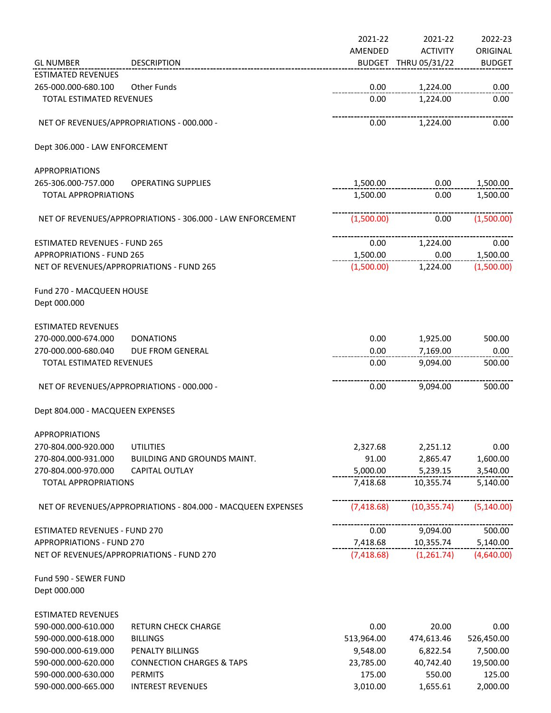|                                           |                                                              | 2021-22    | 2021-22              | 2022-23       |
|-------------------------------------------|--------------------------------------------------------------|------------|----------------------|---------------|
|                                           |                                                              | AMENDED    | <b>ACTIVITY</b>      | ORIGINAL      |
| <b>GL NUMBER</b>                          | <b>DESCRIPTION</b>                                           |            | BUDGET THRU 05/31/22 | <b>BUDGET</b> |
| <b>ESTIMATED REVENUES</b>                 |                                                              |            |                      |               |
| 265-000.000-680.100                       | <b>Other Funds</b>                                           | 0.00       | 1,224.00             | 0.00          |
| TOTAL ESTIMATED REVENUES                  |                                                              | 0.00       | 1,224.00             | 0.00          |
|                                           |                                                              |            |                      |               |
|                                           | NET OF REVENUES/APPROPRIATIONS - 000.000 -                   | 0.00       | 1,224.00             | 0.00          |
| Dept 306.000 - LAW ENFORCEMENT            |                                                              |            |                      |               |
| <b>APPROPRIATIONS</b>                     |                                                              |            |                      |               |
| 265-306.000-757.000                       | <b>OPERATING SUPPLIES</b>                                    | 1,500.00   | 0.00                 | 1,500.00      |
| <b>TOTAL APPROPRIATIONS</b>               |                                                              | 1,500.00   | 0.00                 | 1,500.00      |
|                                           |                                                              |            |                      |               |
|                                           | NET OF REVENUES/APPROPRIATIONS - 306.000 - LAW ENFORCEMENT   | (1,500.00) | 0.00                 | (1,500.00)    |
| <b>ESTIMATED REVENUES - FUND 265</b>      |                                                              | 0.00       | 1,224.00             | 0.00          |
| <b>APPROPRIATIONS - FUND 265</b>          |                                                              | 1,500.00   | 0.00                 | 1,500.00      |
|                                           | NET OF REVENUES/APPROPRIATIONS - FUND 265                    | (1,500.00) | 1,224.00             | (1,500.00)    |
| Fund 270 - MACQUEEN HOUSE<br>Dept 000.000 |                                                              |            |                      |               |
|                                           |                                                              |            |                      |               |
| <b>ESTIMATED REVENUES</b>                 |                                                              |            |                      |               |
| 270-000.000-674.000                       | <b>DONATIONS</b>                                             | 0.00       | 1,925.00             | 500.00        |
| 270-000.000-680.040                       | DUE FROM GENERAL                                             | 0.00       | 7,169.00             | 0.00          |
| TOTAL ESTIMATED REVENUES                  |                                                              | 0.00       | 9,094.00             | 500.00        |
|                                           | NET OF REVENUES/APPROPRIATIONS - 000.000 -                   | 0.00       | 9,094.00             | 500.00        |
| Dept 804.000 - MACQUEEN EXPENSES          |                                                              |            |                      |               |
| <b>APPROPRIATIONS</b>                     |                                                              |            |                      |               |
| 270-804.000-920.000                       | <b>UTILITIES</b>                                             | 2,327.68   | 2,251.12             | 0.00          |
| 270-804.000-931.000                       | <b>BUILDING AND GROUNDS MAINT.</b>                           | 91.00      | 2,865.47             | 1,600.00      |
| 270-804.000-970.000                       | <b>CAPITAL OUTLAY</b>                                        | 5,000.00   | 5,239.15             | 3,540.00      |
| <b>TOTAL APPROPRIATIONS</b>               |                                                              | 7,418.68   | 10,355.74            | 5,140.00      |
|                                           | NET OF REVENUES/APPROPRIATIONS - 804.000 - MACQUEEN EXPENSES | (7,418.68) | (10, 355.74)         | (5, 140.00)   |
| <b>ESTIMATED REVENUES - FUND 270</b>      |                                                              | 0.00       | 9,094.00             | 500.00        |
| <b>APPROPRIATIONS - FUND 270</b>          |                                                              | 7,418.68   | 10,355.74            | 5,140.00      |
|                                           | NET OF REVENUES/APPROPRIATIONS - FUND 270                    | (7,418.68) | (1,261.74)           | (4,640.00)    |
| Fund 590 - SEWER FUND                     |                                                              |            |                      |               |
| Dept 000.000                              |                                                              |            |                      |               |
| <b>ESTIMATED REVENUES</b>                 |                                                              |            |                      |               |
| 590-000.000-610.000                       | <b>RETURN CHECK CHARGE</b>                                   | 0.00       | 20.00                | 0.00          |
| 590-000.000-618.000                       | <b>BILLINGS</b>                                              | 513,964.00 | 474,613.46           | 526,450.00    |
| 590-000.000-619.000                       | PENALTY BILLINGS                                             | 9,548.00   | 6,822.54             | 7,500.00      |
| 590-000.000-620.000                       | <b>CONNECTION CHARGES &amp; TAPS</b>                         | 23,785.00  | 40,742.40            | 19,500.00     |
| 590-000.000-630.000                       | <b>PERMITS</b>                                               | 175.00     | 550.00               | 125.00        |
| 590-000.000-665.000                       | <b>INTEREST REVENUES</b>                                     | 3,010.00   | 1,655.61             | 2,000.00      |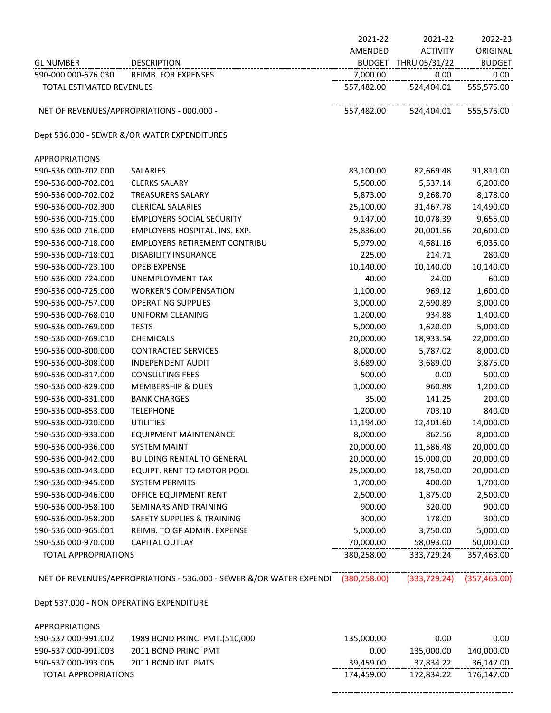|                                          |                                                                                  | 2021-22       | 2021-22         | 2022-23       |
|------------------------------------------|----------------------------------------------------------------------------------|---------------|-----------------|---------------|
|                                          |                                                                                  | AMENDED       | <b>ACTIVITY</b> | ORIGINAL      |
| <b>GL NUMBER</b>                         | <b>DESCRIPTION</b>                                                               | <b>BUDGET</b> | THRU 05/31/22   | <b>BUDGET</b> |
| 590-000.000-676.030                      | <b>REIMB. FOR EXPENSES</b>                                                       | 7,000.00      | 0.00            | 0.00          |
| TOTAL ESTIMATED REVENUES                 |                                                                                  | 557,482.00    | 524,404.01      | 555,575.00    |
|                                          |                                                                                  |               |                 |               |
|                                          | NET OF REVENUES/APPROPRIATIONS - 000.000 -                                       | 557,482.00    | 524,404.01      | 555,575.00    |
|                                          | Dept 536.000 - SEWER &/OR WATER EXPENDITURES                                     |               |                 |               |
| <b>APPROPRIATIONS</b>                    |                                                                                  |               |                 |               |
| 590-536.000-702.000                      | SALARIES                                                                         | 83,100.00     | 82,669.48       | 91,810.00     |
| 590-536.000-702.001                      | <b>CLERKS SALARY</b>                                                             | 5,500.00      | 5,537.14        | 6,200.00      |
| 590-536.000-702.002                      | <b>TREASURERS SALARY</b>                                                         | 5,873.00      | 9,268.70        | 8,178.00      |
| 590-536.000-702.300                      | <b>CLERICAL SALARIES</b>                                                         | 25,100.00     | 31,467.78       | 14,490.00     |
| 590-536.000-715.000                      | <b>EMPLOYERS SOCIAL SECURITY</b>                                                 | 9,147.00      | 10,078.39       | 9,655.00      |
| 590-536.000-716.000                      | EMPLOYERS HOSPITAL. INS. EXP.                                                    | 25,836.00     | 20,001.56       | 20,600.00     |
| 590-536.000-718.000                      | <b>EMPLOYERS RETIREMENT CONTRIBU</b>                                             | 5,979.00      | 4,681.16        | 6,035.00      |
| 590-536.000-718.001                      | <b>DISABILITY INSURANCE</b>                                                      | 225.00        | 214.71          | 280.00        |
| 590-536.000-723.100                      | <b>OPEB EXPENSE</b>                                                              | 10,140.00     | 10,140.00       | 10,140.00     |
| 590-536.000-724.000                      | <b>UNEMPLOYMENT TAX</b>                                                          | 40.00         | 24.00           | 60.00         |
| 590-536.000-725.000                      | <b>WORKER'S COMPENSATION</b>                                                     | 1,100.00      | 969.12          | 1,600.00      |
| 590-536.000-757.000                      | <b>OPERATING SUPPLIES</b>                                                        | 3,000.00      | 2,690.89        | 3,000.00      |
| 590-536.000-768.010                      | UNIFORM CLEANING                                                                 | 1,200.00      | 934.88          | 1,400.00      |
| 590-536.000-769.000                      | <b>TESTS</b>                                                                     | 5,000.00      | 1,620.00        | 5,000.00      |
| 590-536.000-769.010                      | <b>CHEMICALS</b>                                                                 | 20,000.00     | 18,933.54       | 22,000.00     |
| 590-536.000-800.000                      | <b>CONTRACTED SERVICES</b>                                                       | 8,000.00      | 5,787.02        | 8,000.00      |
| 590-536.000-808.000                      | <b>INDEPENDENT AUDIT</b>                                                         | 3,689.00      | 3,689.00        | 3,875.00      |
| 590-536.000-817.000                      | <b>CONSULTING FEES</b>                                                           | 500.00        | 0.00            | 500.00        |
| 590-536.000-829.000                      | <b>MEMBERSHIP &amp; DUES</b>                                                     | 1,000.00      | 960.88          | 1,200.00      |
| 590-536.000-831.000                      | <b>BANK CHARGES</b>                                                              | 35.00         | 141.25          | 200.00        |
| 590-536.000-853.000                      | <b>TELEPHONE</b>                                                                 | 1,200.00      | 703.10          | 840.00        |
| 590-536.000-920.000                      | <b>UTILITIES</b>                                                                 | 11,194.00     | 12,401.60       | 14,000.00     |
| 590-536.000-933.000                      | <b>EQUIPMENT MAINTENANCE</b>                                                     | 8,000.00      | 862.56          | 8,000.00      |
| 590-536.000-936.000                      | <b>SYSTEM MAINT</b>                                                              | 20,000.00     | 11,586.48       | 20,000.00     |
| 590-536.000-942.000                      | <b>BUILDING RENTAL TO GENERAL</b>                                                | 20,000.00     | 15,000.00       | 20,000.00     |
| 590-536.000-943.000                      | EQUIPT. RENT TO MOTOR POOL                                                       | 25,000.00     | 18,750.00       | 20,000.00     |
| 590-536.000-945.000                      | <b>SYSTEM PERMITS</b>                                                            | 1,700.00      | 400.00          | 1,700.00      |
| 590-536.000-946.000                      | OFFICE EQUIPMENT RENT                                                            | 2,500.00      | 1,875.00        | 2,500.00      |
| 590-536.000-958.100                      | SEMINARS AND TRAINING                                                            | 900.00        | 320.00          | 900.00        |
| 590-536.000-958.200                      | <b>SAFETY SUPPLIES &amp; TRAINING</b>                                            | 300.00        | 178.00          | 300.00        |
| 590-536.000-965.001                      | REIMB. TO GF ADMIN. EXPENSE                                                      | 5,000.00      | 3,750.00        | 5,000.00      |
| 590-536.000-970.000                      | <b>CAPITAL OUTLAY</b>                                                            | 70,000.00     | 58,093.00       | 50,000.00     |
| <b>TOTAL APPROPRIATIONS</b>              |                                                                                  | 380,258.00    | 333,729.24      | 357,463.00    |
|                                          | NET OF REVENUES/APPROPRIATIONS - 536.000 - SEWER &/OR WATER EXPENDI (380,258.00) |               | (333, 729.24)   | (357, 463.00) |
| Dept 537.000 - NON OPERATING EXPENDITURE |                                                                                  |               |                 |               |
|                                          |                                                                                  |               |                 |               |
| <b>APPROPRIATIONS</b>                    |                                                                                  |               |                 |               |
| 590-537.000-991.002                      | 1989 BOND PRINC. PMT.(510,000                                                    | 135,000.00    | 0.00            | 0.00          |
| 590-537.000-991.003                      | 2011 BOND PRINC. PMT                                                             | 0.00          | 135,000.00      | 140,000.00    |
| 590-537.000-993.005                      | 2011 BOND INT. PMTS                                                              | 39,459.00     | 37,834.22       | 36,147.00     |
| <b>TOTAL APPROPRIATIONS</b>              |                                                                                  | 174,459.00    | 172,834.22      | 176,147.00    |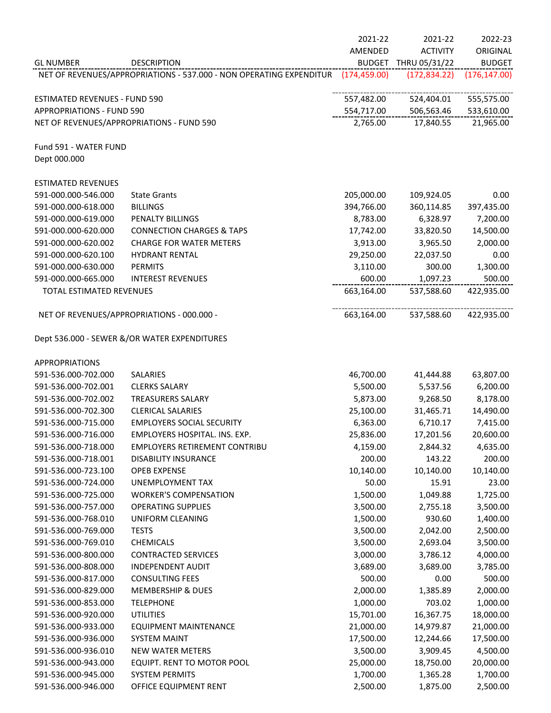|                                      |                                                                     | 2021-22       | 2021-22              | 2022-23       |
|--------------------------------------|---------------------------------------------------------------------|---------------|----------------------|---------------|
|                                      |                                                                     | AMENDED       | <b>ACTIVITY</b>      | ORIGINAL      |
| <b>GL NUMBER</b>                     | <b>DESCRIPTION</b>                                                  |               | BUDGET THRU 05/31/22 | <b>BUDGET</b> |
|                                      | NET OF REVENUES/APPROPRIATIONS - 537.000 - NON OPERATING EXPENDITUR | (174, 459.00) | (172, 834.22)        | (176, 147.00) |
|                                      |                                                                     |               |                      |               |
| <b>ESTIMATED REVENUES - FUND 590</b> |                                                                     | 557,482.00    | 524,404.01           | 555,575.00    |
| <b>APPROPRIATIONS - FUND 590</b>     |                                                                     | 554,717.00    | 506,563.46           | 533,610.00    |
|                                      | NET OF REVENUES/APPROPRIATIONS - FUND 590                           | 2,765.00      | 17,840.55            | 21,965.00     |
| Fund 591 - WATER FUND                |                                                                     |               |                      |               |
| Dept 000.000                         |                                                                     |               |                      |               |
| <b>ESTIMATED REVENUES</b>            |                                                                     |               |                      |               |
| 591-000.000-546.000                  | <b>State Grants</b>                                                 | 205,000.00    | 109,924.05           | 0.00          |
| 591-000.000-618.000                  | <b>BILLINGS</b>                                                     | 394,766.00    | 360,114.85           | 397,435.00    |
| 591-000.000-619.000                  | PENALTY BILLINGS                                                    | 8,783.00      | 6,328.97             | 7,200.00      |
| 591-000.000-620.000                  | <b>CONNECTION CHARGES &amp; TAPS</b>                                | 17,742.00     | 33,820.50            | 14,500.00     |
| 591-000.000-620.002                  | <b>CHARGE FOR WATER METERS</b>                                      | 3,913.00      | 3,965.50             | 2,000.00      |
| 591-000.000-620.100                  | <b>HYDRANT RENTAL</b>                                               | 29,250.00     | 22,037.50            | 0.00          |
| 591-000.000-630.000                  | <b>PERMITS</b>                                                      | 3,110.00      | 300.00               | 1,300.00      |
| 591-000.000-665.000                  | <b>INTEREST REVENUES</b>                                            | 600.00        | 1,097.23             | 500.00        |
| TOTAL ESTIMATED REVENUES             |                                                                     | 663,164.00    | 537,588.60           | 422,935.00    |
|                                      |                                                                     |               |                      |               |
|                                      | NET OF REVENUES/APPROPRIATIONS - 000.000 -                          | 663,164.00    | 537,588.60           | 422,935.00    |
|                                      | Dept 536.000 - SEWER &/OR WATER EXPENDITURES                        |               |                      |               |
|                                      |                                                                     |               |                      |               |
| <b>APPROPRIATIONS</b>                |                                                                     |               |                      |               |
| 591-536.000-702.000                  | <b>SALARIES</b>                                                     | 46,700.00     | 41,444.88            | 63,807.00     |
| 591-536.000-702.001                  | <b>CLERKS SALARY</b>                                                | 5,500.00      | 5,537.56             | 6,200.00      |
| 591-536.000-702.002                  | <b>TREASURERS SALARY</b>                                            | 5,873.00      | 9,268.50             | 8,178.00      |
| 591-536.000-702.300                  | <b>CLERICAL SALARIES</b>                                            | 25,100.00     | 31,465.71            | 14,490.00     |
| 591-536.000-715.000                  | <b>EMPLOYERS SOCIAL SECURITY</b>                                    | 6,363.00      | 6,710.17             | 7,415.00      |
| 591-536.000-716.000                  | EMPLOYERS HOSPITAL. INS. EXP.                                       | 25,836.00     | 17,201.56            | 20,600.00     |
| 591-536.000-718.000                  | <b>EMPLOYERS RETIREMENT CONTRIBU</b>                                | 4,159.00      | 2,844.32             | 4,635.00      |
| 591-536.000-718.001                  | <b>DISABILITY INSURANCE</b>                                         | 200.00        | 143.22               | 200.00        |
| 591-536.000-723.100                  | <b>OPEB EXPENSE</b>                                                 | 10,140.00     | 10,140.00            | 10,140.00     |
| 591-536.000-724.000                  | UNEMPLOYMENT TAX                                                    | 50.00         | 15.91                | 23.00         |
| 591-536.000-725.000                  | <b>WORKER'S COMPENSATION</b>                                        | 1,500.00      | 1,049.88             | 1,725.00      |
| 591-536.000-757.000                  | <b>OPERATING SUPPLIES</b>                                           | 3,500.00      | 2,755.18             | 3,500.00      |
| 591-536.000-768.010                  | <b>UNIFORM CLEANING</b>                                             | 1,500.00      | 930.60               | 1,400.00      |
| 591-536.000-769.000                  | <b>TESTS</b>                                                        | 3,500.00      | 2,042.00             | 2,500.00      |
| 591-536.000-769.010                  | <b>CHEMICALS</b>                                                    | 3,500.00      | 2,693.04             | 3,500.00      |
| 591-536.000-800.000                  | <b>CONTRACTED SERVICES</b>                                          | 3,000.00      | 3,786.12             | 4,000.00      |
| 591-536.000-808.000                  | <b>INDEPENDENT AUDIT</b>                                            | 3,689.00      | 3,689.00             | 3,785.00      |
| 591-536.000-817.000                  | <b>CONSULTING FEES</b>                                              | 500.00        | 0.00                 | 500.00        |
| 591-536.000-829.000                  | <b>MEMBERSHIP &amp; DUES</b>                                        | 2,000.00      | 1,385.89             | 2,000.00      |
| 591-536.000-853.000                  | <b>TELEPHONE</b>                                                    | 1,000.00      | 703.02               | 1,000.00      |
| 591-536.000-920.000                  | <b>UTILITIES</b>                                                    |               |                      | 18,000.00     |
|                                      |                                                                     | 15,701.00     | 16,367.75            |               |
| 591-536.000-933.000                  | <b>EQUIPMENT MAINTENANCE</b>                                        | 21,000.00     | 14,979.87            | 21,000.00     |
| 591-536.000-936.000                  | <b>SYSTEM MAINT</b>                                                 | 17,500.00     | 12,244.66            | 17,500.00     |
| 591-536.000-936.010                  | <b>NEW WATER METERS</b>                                             | 3,500.00      | 3,909.45             | 4,500.00      |
| 591-536.000-943.000                  | EQUIPT. RENT TO MOTOR POOL                                          | 25,000.00     | 18,750.00            | 20,000.00     |
| 591-536.000-945.000                  | <b>SYSTEM PERMITS</b>                                               | 1,700.00      | 1,365.28             | 1,700.00      |
| 591-536.000-946.000                  | OFFICE EQUIPMENT RENT                                               | 2,500.00      | 1,875.00             | 2,500.00      |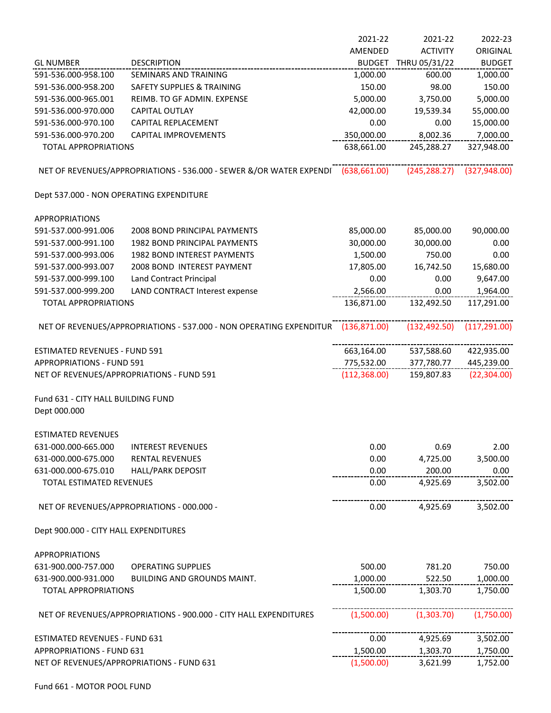|                                                                   |                                                                                  | 2021-22       | 2021-22         | 2022-23       |
|-------------------------------------------------------------------|----------------------------------------------------------------------------------|---------------|-----------------|---------------|
|                                                                   |                                                                                  | AMENDED       | <b>ACTIVITY</b> | ORIGINAL      |
| <b>GL NUMBER</b>                                                  | <b>DESCRIPTION</b>                                                               | <b>BUDGET</b> | THRU 05/31/22   | <b>BUDGET</b> |
| 591-536.000-958.100                                               | SEMINARS AND TRAINING                                                            | 1,000.00      | 600.00          | 1,000.00      |
| 591-536.000-958.200                                               | <b>SAFETY SUPPLIES &amp; TRAINING</b>                                            | 150.00        | 98.00           | 150.00        |
| 591-536.000-965.001                                               | REIMB. TO GF ADMIN. EXPENSE                                                      | 5,000.00      | 3,750.00        | 5,000.00      |
| 591-536.000-970.000                                               | <b>CAPITAL OUTLAY</b>                                                            | 42,000.00     | 19,539.34       | 55,000.00     |
| 591-536.000-970.100                                               | CAPITAL REPLACEMENT                                                              | 0.00          | 0.00            | 15,000.00     |
| 591-536.000-970.200                                               | <b>CAPITAL IMPROVEMENTS</b>                                                      | 350,000.00    | 8,002.36        | 7,000.00      |
| <b>TOTAL APPROPRIATIONS</b>                                       |                                                                                  | 638,661.00    | 245,288.27      | 327,948.00    |
|                                                                   |                                                                                  |               |                 |               |
|                                                                   | NET OF REVENUES/APPROPRIATIONS - 536.000 - SEWER &/OR WATER EXPENDI (638,661.00) |               | (245, 288.27)   | (327, 948.00) |
| Dept 537.000 - NON OPERATING EXPENDITURE                          |                                                                                  |               |                 |               |
| <b>APPROPRIATIONS</b>                                             |                                                                                  |               |                 |               |
| 591-537.000-991.006                                               | 2008 BOND PRINCIPAL PAYMENTS                                                     | 85,000.00     | 85,000.00       | 90,000.00     |
| 591-537.000-991.100                                               | 1982 BOND PRINCIPAL PAYMENTS                                                     | 30,000.00     | 30,000.00       | 0.00          |
| 591-537.000-993.006                                               | 1982 BOND INTEREST PAYMENTS                                                      | 1,500.00      | 750.00          | 0.00          |
| 591-537.000-993.007                                               | 2008 BOND INTEREST PAYMENT                                                       | 17,805.00     | 16,742.50       | 15,680.00     |
| 591-537.000-999.100                                               | <b>Land Contract Principal</b>                                                   | 0.00          | 0.00            | 9,647.00      |
| 591-537.000-999.200                                               | LAND CONTRACT Interest expense                                                   | 2,566.00      | 0.00            | 1,964.00      |
| <b>TOTAL APPROPRIATIONS</b>                                       |                                                                                  | 136,871.00    | 132,492.50      | 117,291.00    |
|                                                                   | NET OF REVENUES/APPROPRIATIONS - 537.000 - NON OPERATING EXPENDITUR (136,871.00) |               | (132, 492.50)   | (117, 291.00) |
| <b>ESTIMATED REVENUES - FUND 591</b>                              |                                                                                  | 663,164.00    | 537,588.60      | 422,935.00    |
| <b>APPROPRIATIONS - FUND 591</b>                                  |                                                                                  | 775,532.00    | 377,780.77      | 445,239.00    |
|                                                                   | NET OF REVENUES/APPROPRIATIONS - FUND 591                                        | (112, 368.00) | 159,807.83      | (22, 304.00)  |
| Fund 631 - CITY HALL BUILDING FUND<br>Dept 000.000                |                                                                                  |               |                 |               |
| ESTIMATED REVENUES                                                |                                                                                  |               |                 |               |
| 631-000.000-665.000                                               | <b>INTEREST REVENUES</b>                                                         | 0.00          | 0.69            | 2.00          |
| 631-000.000-675.000                                               | <b>RENTAL REVENUES</b>                                                           | 0.00          | 4,725.00        | 3,500.00      |
| 631-000.000-675.010                                               | <b>HALL/PARK DEPOSIT</b>                                                         | 0.00          | 200.00          | 0.00          |
| TOTAL ESTIMATED REVENUES                                          |                                                                                  | 0.00          | 4,925.69        | 3,502.00      |
|                                                                   | NET OF REVENUES/APPROPRIATIONS - 000.000 -                                       | 0.00          | 4,925.69        | 3,502.00      |
|                                                                   |                                                                                  |               |                 |               |
| Dept 900.000 - CITY HALL EXPENDITURES                             |                                                                                  |               |                 |               |
| <b>APPROPRIATIONS</b>                                             |                                                                                  |               |                 |               |
| 631-900.000-757.000                                               | <b>OPERATING SUPPLIES</b>                                                        | 500.00        | 781.20          | 750.00        |
| 631-900.000-931.000                                               | BUILDING AND GROUNDS MAINT.                                                      | 1,000.00      | 522.50          | 1,000.00      |
| <b>TOTAL APPROPRIATIONS</b>                                       |                                                                                  | 1,500.00      | 1,303.70        | 1,750.00      |
| NET OF REVENUES/APPROPRIATIONS - 900.000 - CITY HALL EXPENDITURES |                                                                                  | (1,500.00)    | (1,303.70)      | (1,750.00)    |
| ESTIMATED REVENUES - FUND 631                                     |                                                                                  | 0.00          | 4,925.69        | 3,502.00      |
| <b>APPROPRIATIONS - FUND 631</b>                                  |                                                                                  | 1,500.00      | 1,303.70        | 1,750.00      |
| NET OF REVENUES/APPROPRIATIONS - FUND 631                         |                                                                                  |               |                 |               |
|                                                                   |                                                                                  | (1,500.00)    | 3,621.99        | 1,752.00      |

Fund 661 - MOTOR POOL FUND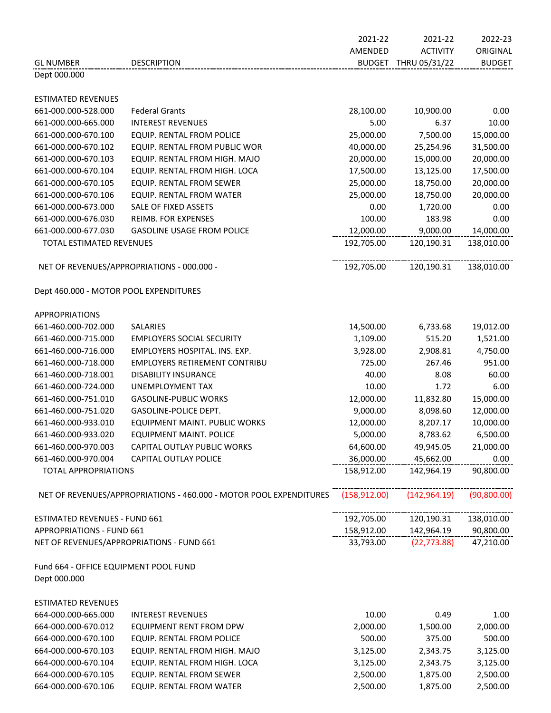|                                        |                                                                    | 2021-22       | 2021-22              | 2022-23       |
|----------------------------------------|--------------------------------------------------------------------|---------------|----------------------|---------------|
|                                        |                                                                    | AMENDED       | <b>ACTIVITY</b>      | ORIGINAL      |
| <b>GL NUMBER</b>                       | <b>DESCRIPTION</b>                                                 |               | BUDGET THRU 05/31/22 | <b>BUDGET</b> |
| Dept 000.000                           |                                                                    |               |                      |               |
|                                        |                                                                    |               |                      |               |
| <b>ESTIMATED REVENUES</b>              |                                                                    |               |                      |               |
| 661-000.000-528.000                    | <b>Federal Grants</b>                                              | 28,100.00     | 10,900.00            | 0.00          |
| 661-000.000-665.000                    | <b>INTEREST REVENUES</b>                                           | 5.00          | 6.37                 | 10.00         |
| 661-000.000-670.100                    | EQUIP. RENTAL FROM POLICE                                          | 25,000.00     | 7,500.00             | 15,000.00     |
| 661-000.000-670.102                    | EQUIP. RENTAL FROM PUBLIC WOR                                      | 40,000.00     | 25,254.96            | 31,500.00     |
| 661-000.000-670.103                    | EQUIP. RENTAL FROM HIGH. MAJO                                      | 20,000.00     | 15,000.00            | 20,000.00     |
| 661-000.000-670.104                    | EQUIP. RENTAL FROM HIGH. LOCA                                      | 17,500.00     | 13,125.00            | 17,500.00     |
| 661-000.000-670.105                    | EQUIP. RENTAL FROM SEWER                                           | 25,000.00     | 18,750.00            | 20,000.00     |
| 661-000.000-670.106                    | EQUIP. RENTAL FROM WATER                                           | 25,000.00     | 18,750.00            | 20,000.00     |
| 661-000.000-673.000                    | SALE OF FIXED ASSETS                                               | 0.00          | 1,720.00             | 0.00          |
| 661-000.000-676.030                    | REIMB. FOR EXPENSES                                                | 100.00        | 183.98               | 0.00          |
| 661-000.000-677.030                    | <b>GASOLINE USAGE FROM POLICE</b>                                  | 12,000.00     | 9,000.00             | 14,000.00     |
| TOTAL ESTIMATED REVENUES               |                                                                    | 192,705.00    | 120,190.31           | 138,010.00    |
|                                        |                                                                    |               |                      |               |
|                                        | NET OF REVENUES/APPROPRIATIONS - 000.000 -                         | 192,705.00    | 120,190.31           | 138,010.00    |
| Dept 460.000 - MOTOR POOL EXPENDITURES |                                                                    |               |                      |               |
|                                        |                                                                    |               |                      |               |
| <b>APPROPRIATIONS</b>                  |                                                                    |               |                      |               |
| 661-460.000-702.000                    | SALARIES                                                           | 14,500.00     | 6,733.68             | 19,012.00     |
| 661-460.000-715.000                    | <b>EMPLOYERS SOCIAL SECURITY</b>                                   | 1,109.00      | 515.20               | 1,521.00      |
| 661-460.000-716.000                    | EMPLOYERS HOSPITAL. INS. EXP.                                      | 3,928.00      | 2,908.81             | 4,750.00      |
| 661-460.000-718.000                    | <b>EMPLOYERS RETIREMENT CONTRIBU</b>                               | 725.00        | 267.46               | 951.00        |
| 661-460.000-718.001                    | <b>DISABILITY INSURANCE</b>                                        | 40.00         | 8.08                 | 60.00         |
| 661-460.000-724.000                    | UNEMPLOYMENT TAX                                                   | 10.00         | 1.72                 | 6.00          |
| 661-460.000-751.010                    | <b>GASOLINE-PUBLIC WORKS</b>                                       | 12,000.00     | 11,832.80            | 15,000.00     |
| 661-460.000-751.020                    | GASOLINE-POLICE DEPT.                                              | 9,000.00      | 8,098.60             | 12,000.00     |
| 661-460.000-933.010                    | EQUIPMENT MAINT. PUBLIC WORKS                                      | 12,000.00     | 8,207.17             | 10,000.00     |
| 661-460.000-933.020                    | EQUIPMENT MAINT. POLICE                                            | 5,000.00      | 8,783.62             | 6,500.00      |
| 661-460.000-970.003                    | CAPITAL OUTLAY PUBLIC WORKS                                        | 64,600.00     | 49,945.05            | 21,000.00     |
| 661-460.000-970.004                    | CAPITAL OUTLAY POLICE                                              | 36,000.00     | 45,662.00            | 0.00          |
| <b>TOTAL APPROPRIATIONS</b>            |                                                                    | 158,912.00    | 142,964.19           | 90,800.00     |
|                                        |                                                                    |               |                      |               |
|                                        | NET OF REVENUES/APPROPRIATIONS - 460.000 - MOTOR POOL EXPENDITURES | (158, 912.00) | (142, 964.19)        | (90, 800.00)  |
|                                        |                                                                    |               |                      |               |
| <b>ESTIMATED REVENUES - FUND 661</b>   |                                                                    | 192,705.00    | 120,190.31           | 138,010.00    |
| <b>APPROPRIATIONS - FUND 661</b>       |                                                                    | 158,912.00    | 142,964.19           | 90,800.00     |
|                                        | NET OF REVENUES/APPROPRIATIONS - FUND 661                          | 33,793.00     | (22, 773.88)         | 47,210.00     |
| Fund 664 - OFFICE EQUIPMENT POOL FUND  |                                                                    |               |                      |               |
| Dept 000.000                           |                                                                    |               |                      |               |
|                                        |                                                                    |               |                      |               |
| <b>ESTIMATED REVENUES</b>              |                                                                    |               |                      |               |
| 664-000.000-665.000                    | <b>INTEREST REVENUES</b>                                           | 10.00         | 0.49                 | 1.00          |
| 664-000.000-670.012                    | <b>EQUIPMENT RENT FROM DPW</b>                                     | 2,000.00      | 1,500.00             | 2,000.00      |
| 664-000.000-670.100                    | EQUIP. RENTAL FROM POLICE                                          | 500.00        | 375.00               | 500.00        |
| 664-000.000-670.103                    | EQUIP. RENTAL FROM HIGH. MAJO                                      | 3,125.00      | 2,343.75             | 3,125.00      |
| 664-000.000-670.104                    | EQUIP. RENTAL FROM HIGH. LOCA                                      | 3,125.00      | 2,343.75             | 3,125.00      |
| 664-000.000-670.105                    | EQUIP. RENTAL FROM SEWER                                           | 2,500.00      | 1,875.00             | 2,500.00      |
| 664-000.000-670.106                    | EQUIP. RENTAL FROM WATER                                           | 2,500.00      | 1,875.00             | 2,500.00      |